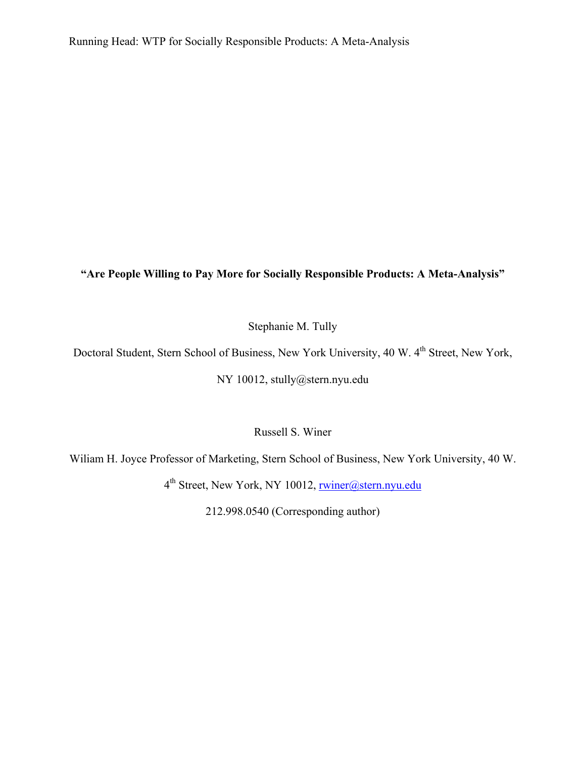# **"Are People Willing to Pay More for Socially Responsible Products: A Meta-Analysis"**

Stephanie M. Tully

Doctoral Student, Stern School of Business, New York University, 40 W. 4<sup>th</sup> Street, New York,

NY 10012, stully@stern.nyu.edu

Russell S. Winer

Wiliam H. Joyce Professor of Marketing, Stern School of Business, New York University, 40 W.

4th Street, New York, NY 10012, rwiner@stern.nyu.edu

212.998.0540 (Corresponding author)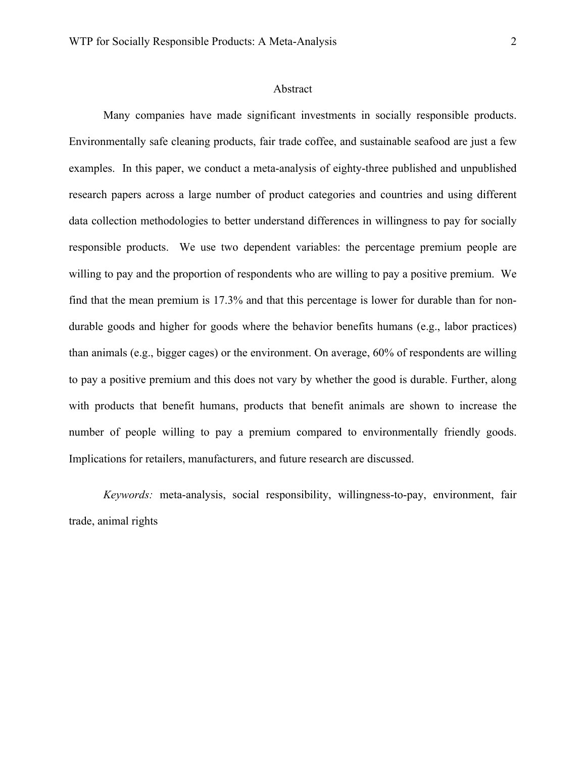#### Abstract

Many companies have made significant investments in socially responsible products. Environmentally safe cleaning products, fair trade coffee, and sustainable seafood are just a few examples. In this paper, we conduct a meta-analysis of eighty-three published and unpublished research papers across a large number of product categories and countries and using different data collection methodologies to better understand differences in willingness to pay for socially responsible products. We use two dependent variables: the percentage premium people are willing to pay and the proportion of respondents who are willing to pay a positive premium. We find that the mean premium is 17.3% and that this percentage is lower for durable than for nondurable goods and higher for goods where the behavior benefits humans (e.g., labor practices) than animals (e.g., bigger cages) or the environment. On average, 60% of respondents are willing to pay a positive premium and this does not vary by whether the good is durable. Further, along with products that benefit humans, products that benefit animals are shown to increase the number of people willing to pay a premium compared to environmentally friendly goods. Implications for retailers, manufacturers, and future research are discussed.

*Keywords:* meta-analysis, social responsibility, willingness-to-pay, environment, fair trade, animal rights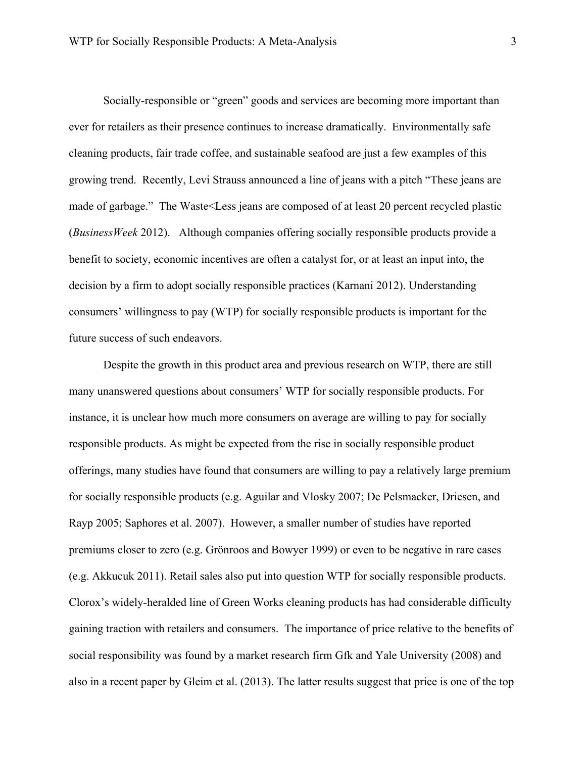Socially-responsible or "green" goods and services are becoming more important than ever for retailers as their presence continues to increase dramatically. Environmentally safe cleaning products, fair trade coffee, and sustainable seafood are just a few examples of this growing trend. Recently, Levi Strauss announced a line of jeans with a pitch "These jeans are made of garbage." The Waste<Less jeans are composed of at least 20 percent recycled plastic (*BusinessWeek* 2012). Although companies offering socially responsible products provide a benefit to society, economic incentives are often a catalyst for, or at least an input into, the decision by a firm to adopt socially responsible practices (Karnani 2012). Understanding consumers' willingness to pay (WTP) for socially responsible products is important for the future success of such endeavors.

Despite the growth in this product area and previous research on WTP, there are still many unanswered questions about consumers' WTP for socially responsible products. For instance, it is unclear how much more consumers on average are willing to pay for socially responsible products. As might be expected from the rise in socially responsible product offerings, many studies have found that consumers are willing to pay a relatively large premium for socially responsible products (e.g. Aguilar and Vlosky 2007; De Pelsmacker, Driesen, and Rayp 2005; Saphores et al. 2007). However, a smaller number of studies have reported premiums closer to zero (e.g. Grönroos and Bowyer 1999) or even to be negative in rare cases (e.g. Akkucuk 2011). Retail sales also put into question WTP for socially responsible products. Clorox's widely-heralded line of Green Works cleaning products has had considerable difficulty gaining traction with retailers and consumers. The importance of price relative to the benefits of social responsibility was found by a market research firm Gfk and Yale University (2008) and also in a recent paper by Gleim et al. (2013). The latter results suggest that price is one of the top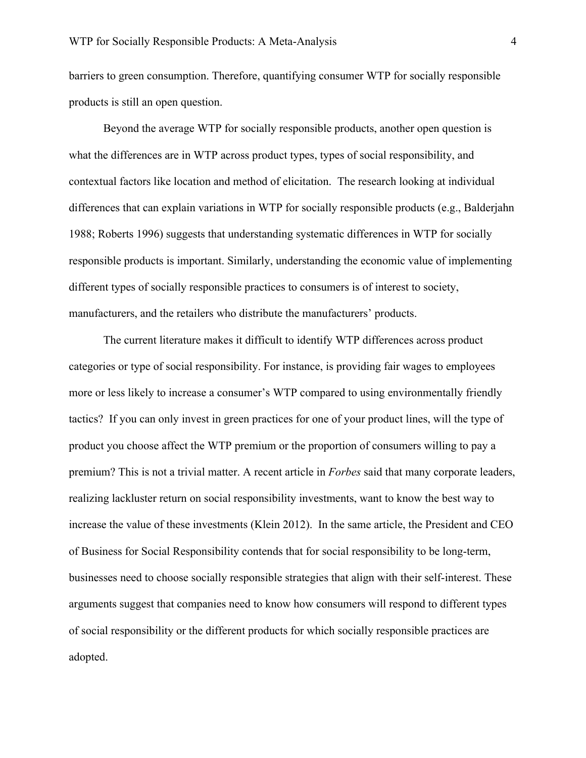barriers to green consumption. Therefore, quantifying consumer WTP for socially responsible products is still an open question.

Beyond the average WTP for socially responsible products, another open question is what the differences are in WTP across product types, types of social responsibility, and contextual factors like location and method of elicitation. The research looking at individual differences that can explain variations in WTP for socially responsible products (e.g., Balderjahn 1988; Roberts 1996) suggests that understanding systematic differences in WTP for socially responsible products is important. Similarly, understanding the economic value of implementing different types of socially responsible practices to consumers is of interest to society, manufacturers, and the retailers who distribute the manufacturers' products.

The current literature makes it difficult to identify WTP differences across product categories or type of social responsibility. For instance, is providing fair wages to employees more or less likely to increase a consumer's WTP compared to using environmentally friendly tactics? If you can only invest in green practices for one of your product lines, will the type of product you choose affect the WTP premium or the proportion of consumers willing to pay a premium? This is not a trivial matter. A recent article in *Forbes* said that many corporate leaders, realizing lackluster return on social responsibility investments, want to know the best way to increase the value of these investments (Klein 2012). In the same article, the President and CEO of Business for Social Responsibility contends that for social responsibility to be long-term, businesses need to choose socially responsible strategies that align with their self-interest. These arguments suggest that companies need to know how consumers will respond to different types of social responsibility or the different products for which socially responsible practices are adopted.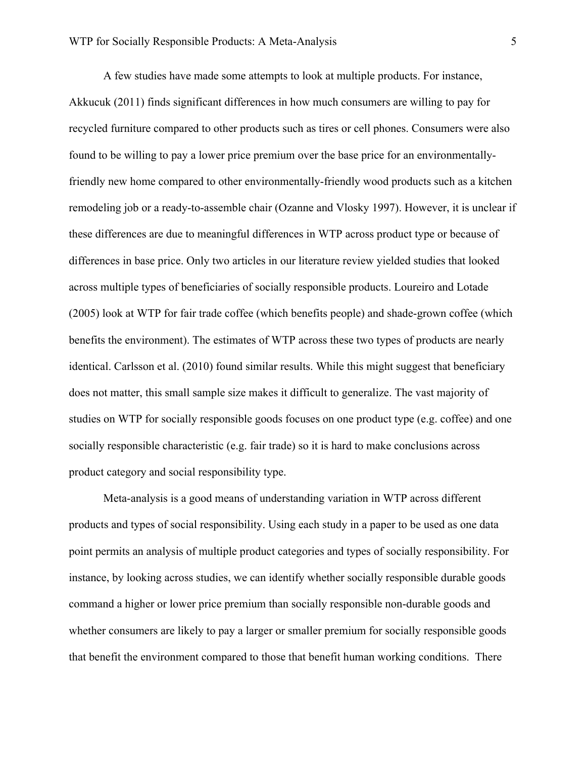A few studies have made some attempts to look at multiple products. For instance, Akkucuk (2011) finds significant differences in how much consumers are willing to pay for recycled furniture compared to other products such as tires or cell phones. Consumers were also found to be willing to pay a lower price premium over the base price for an environmentallyfriendly new home compared to other environmentally-friendly wood products such as a kitchen remodeling job or a ready-to-assemble chair (Ozanne and Vlosky 1997). However, it is unclear if these differences are due to meaningful differences in WTP across product type or because of differences in base price. Only two articles in our literature review yielded studies that looked across multiple types of beneficiaries of socially responsible products. Loureiro and Lotade (2005) look at WTP for fair trade coffee (which benefits people) and shade-grown coffee (which benefits the environment). The estimates of WTP across these two types of products are nearly identical. Carlsson et al. (2010) found similar results. While this might suggest that beneficiary does not matter, this small sample size makes it difficult to generalize. The vast majority of studies on WTP for socially responsible goods focuses on one product type (e.g. coffee) and one socially responsible characteristic (e.g. fair trade) so it is hard to make conclusions across product category and social responsibility type.

Meta-analysis is a good means of understanding variation in WTP across different products and types of social responsibility. Using each study in a paper to be used as one data point permits an analysis of multiple product categories and types of socially responsibility. For instance, by looking across studies, we can identify whether socially responsible durable goods command a higher or lower price premium than socially responsible non-durable goods and whether consumers are likely to pay a larger or smaller premium for socially responsible goods that benefit the environment compared to those that benefit human working conditions. There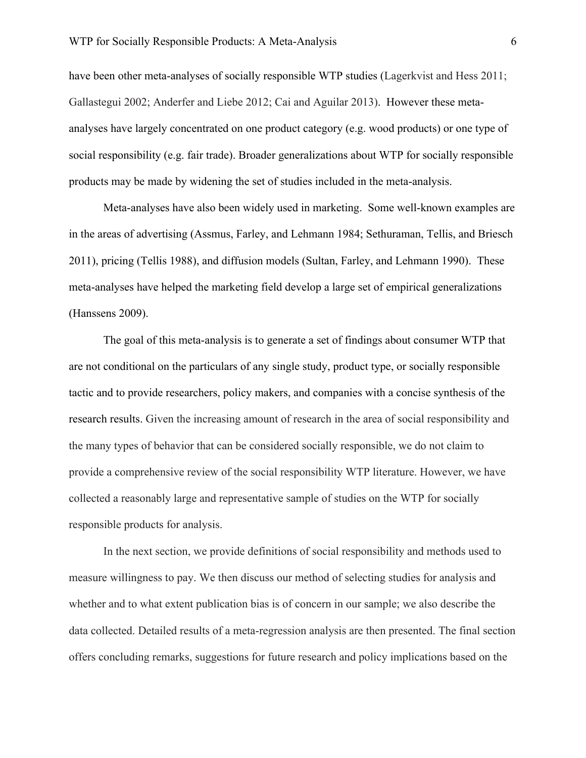have been other meta-analyses of socially responsible WTP studies (Lagerkvist and Hess 2011; Gallastegui 2002; Anderfer and Liebe 2012; Cai and Aguilar 2013). However these metaanalyses have largely concentrated on one product category (e.g. wood products) or one type of social responsibility (e.g. fair trade). Broader generalizations about WTP for socially responsible products may be made by widening the set of studies included in the meta-analysis.

Meta-analyses have also been widely used in marketing. Some well-known examples are in the areas of advertising (Assmus, Farley, and Lehmann 1984; Sethuraman, Tellis, and Briesch 2011), pricing (Tellis 1988), and diffusion models (Sultan, Farley, and Lehmann 1990). These meta-analyses have helped the marketing field develop a large set of empirical generalizations (Hanssens 2009).

The goal of this meta-analysis is to generate a set of findings about consumer WTP that are not conditional on the particulars of any single study, product type, or socially responsible tactic and to provide researchers, policy makers, and companies with a concise synthesis of the research results. Given the increasing amount of research in the area of social responsibility and the many types of behavior that can be considered socially responsible, we do not claim to provide a comprehensive review of the social responsibility WTP literature. However, we have collected a reasonably large and representative sample of studies on the WTP for socially responsible products for analysis.

In the next section, we provide definitions of social responsibility and methods used to measure willingness to pay. We then discuss our method of selecting studies for analysis and whether and to what extent publication bias is of concern in our sample; we also describe the data collected. Detailed results of a meta-regression analysis are then presented. The final section offers concluding remarks, suggestions for future research and policy implications based on the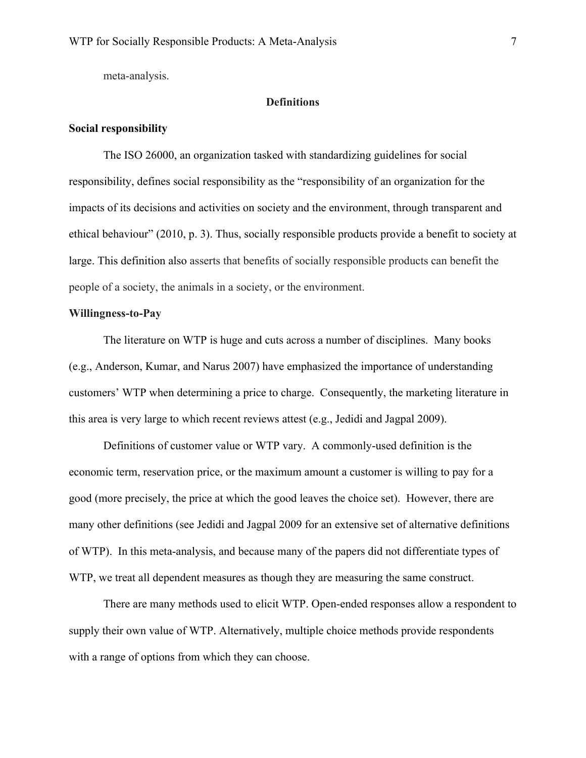meta-analysis.

# **Definitions**

# **Social responsibility**

The ISO 26000, an organization tasked with standardizing guidelines for social responsibility, defines social responsibility as the "responsibility of an organization for the impacts of its decisions and activities on society and the environment, through transparent and ethical behaviour" (2010, p. 3). Thus, socially responsible products provide a benefit to society at large. This definition also asserts that benefits of socially responsible products can benefit the people of a society, the animals in a society, or the environment.

### **Willingness-to-Pay**

The literature on WTP is huge and cuts across a number of disciplines. Many books (e.g., Anderson, Kumar, and Narus 2007) have emphasized the importance of understanding customers' WTP when determining a price to charge. Consequently, the marketing literature in this area is very large to which recent reviews attest (e.g., Jedidi and Jagpal 2009).

Definitions of customer value or WTP vary. A commonly-used definition is the economic term, reservation price, or the maximum amount a customer is willing to pay for a good (more precisely, the price at which the good leaves the choice set). However, there are many other definitions (see Jedidi and Jagpal 2009 for an extensive set of alternative definitions of WTP). In this meta-analysis, and because many of the papers did not differentiate types of WTP, we treat all dependent measures as though they are measuring the same construct.

There are many methods used to elicit WTP. Open-ended responses allow a respondent to supply their own value of WTP. Alternatively, multiple choice methods provide respondents with a range of options from which they can choose.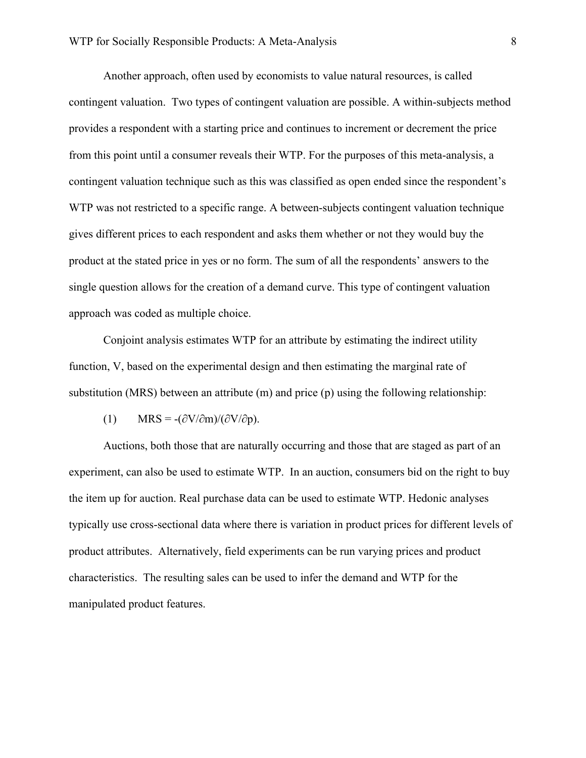Another approach, often used by economists to value natural resources, is called contingent valuation. Two types of contingent valuation are possible. A within-subjects method provides a respondent with a starting price and continues to increment or decrement the price from this point until a consumer reveals their WTP. For the purposes of this meta-analysis, a contingent valuation technique such as this was classified as open ended since the respondent's WTP was not restricted to a specific range. A between-subjects contingent valuation technique gives different prices to each respondent and asks them whether or not they would buy the product at the stated price in yes or no form. The sum of all the respondents' answers to the single question allows for the creation of a demand curve. This type of contingent valuation approach was coded as multiple choice.

Conjoint analysis estimates WTP for an attribute by estimating the indirect utility function, V, based on the experimental design and then estimating the marginal rate of substitution (MRS) between an attribute (m) and price (p) using the following relationship:

(1) MRS =  $-(\partial V/\partial m)/(\partial V/\partial p)$ .

Auctions, both those that are naturally occurring and those that are staged as part of an experiment, can also be used to estimate WTP. In an auction, consumers bid on the right to buy the item up for auction. Real purchase data can be used to estimate WTP. Hedonic analyses typically use cross-sectional data where there is variation in product prices for different levels of product attributes. Alternatively, field experiments can be run varying prices and product characteristics. The resulting sales can be used to infer the demand and WTP for the manipulated product features.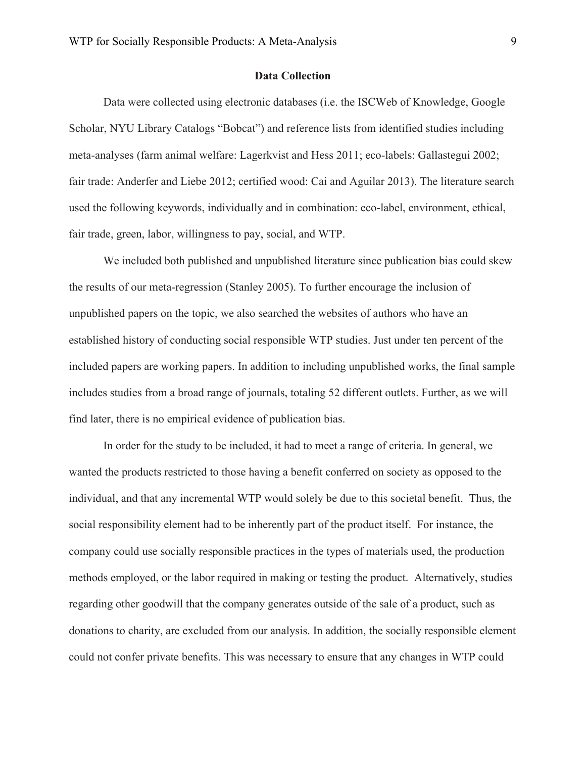# **Data Collection**

Data were collected using electronic databases (i.e. the ISCWeb of Knowledge, Google Scholar, NYU Library Catalogs "Bobcat") and reference lists from identified studies including meta-analyses (farm animal welfare: Lagerkvist and Hess 2011; eco-labels: Gallastegui 2002; fair trade: Anderfer and Liebe 2012; certified wood: Cai and Aguilar 2013). The literature search used the following keywords, individually and in combination: eco-label, environment, ethical, fair trade, green, labor, willingness to pay, social, and WTP.

We included both published and unpublished literature since publication bias could skew the results of our meta-regression (Stanley 2005). To further encourage the inclusion of unpublished papers on the topic, we also searched the websites of authors who have an established history of conducting social responsible WTP studies. Just under ten percent of the included papers are working papers. In addition to including unpublished works, the final sample includes studies from a broad range of journals, totaling 52 different outlets. Further, as we will find later, there is no empirical evidence of publication bias.

In order for the study to be included, it had to meet a range of criteria. In general, we wanted the products restricted to those having a benefit conferred on society as opposed to the individual, and that any incremental WTP would solely be due to this societal benefit. Thus, the social responsibility element had to be inherently part of the product itself. For instance, the company could use socially responsible practices in the types of materials used, the production methods employed, or the labor required in making or testing the product. Alternatively, studies regarding other goodwill that the company generates outside of the sale of a product, such as donations to charity, are excluded from our analysis. In addition, the socially responsible element could not confer private benefits. This was necessary to ensure that any changes in WTP could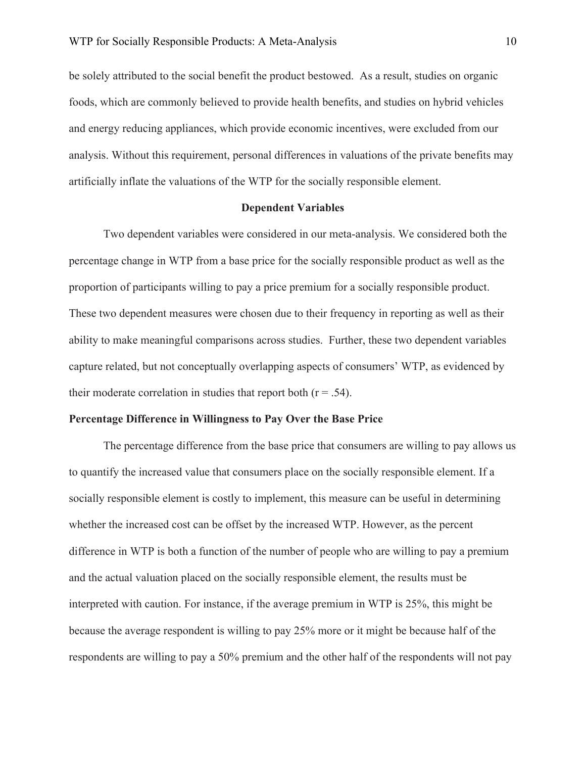be solely attributed to the social benefit the product bestowed. As a result, studies on organic foods, which are commonly believed to provide health benefits, and studies on hybrid vehicles and energy reducing appliances, which provide economic incentives, were excluded from our analysis. Without this requirement, personal differences in valuations of the private benefits may artificially inflate the valuations of the WTP for the socially responsible element.

#### **Dependent Variables**

Two dependent variables were considered in our meta-analysis. We considered both the percentage change in WTP from a base price for the socially responsible product as well as the proportion of participants willing to pay a price premium for a socially responsible product. These two dependent measures were chosen due to their frequency in reporting as well as their ability to make meaningful comparisons across studies. Further, these two dependent variables capture related, but not conceptually overlapping aspects of consumers' WTP, as evidenced by their moderate correlation in studies that report both  $(r = .54)$ .

# **Percentage Difference in Willingness to Pay Over the Base Price**

The percentage difference from the base price that consumers are willing to pay allows us to quantify the increased value that consumers place on the socially responsible element. If a socially responsible element is costly to implement, this measure can be useful in determining whether the increased cost can be offset by the increased WTP. However, as the percent difference in WTP is both a function of the number of people who are willing to pay a premium and the actual valuation placed on the socially responsible element, the results must be interpreted with caution. For instance, if the average premium in WTP is 25%, this might be because the average respondent is willing to pay 25% more or it might be because half of the respondents are willing to pay a 50% premium and the other half of the respondents will not pay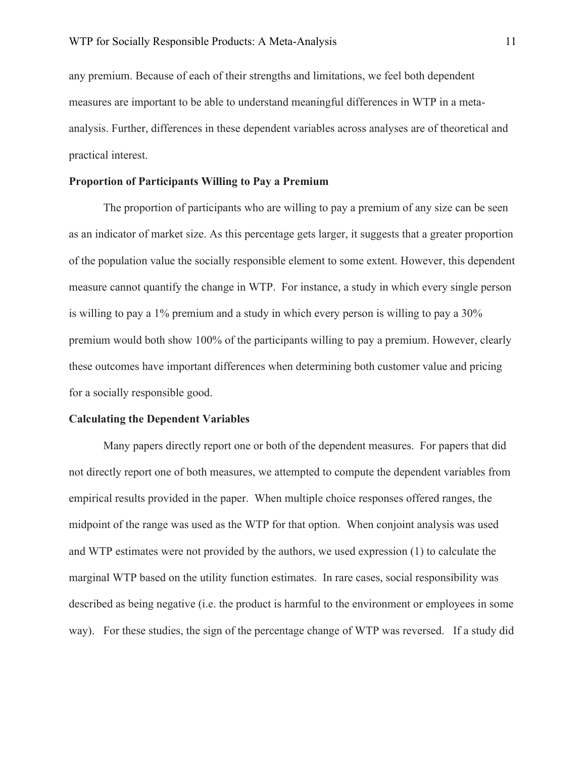any premium. Because of each of their strengths and limitations, we feel both dependent measures are important to be able to understand meaningful differences in WTP in a metaanalysis. Further, differences in these dependent variables across analyses are of theoretical and practical interest.

# **Proportion of Participants Willing to Pay a Premium**

The proportion of participants who are willing to pay a premium of any size can be seen as an indicator of market size. As this percentage gets larger, it suggests that a greater proportion of the population value the socially responsible element to some extent. However, this dependent measure cannot quantify the change in WTP. For instance, a study in which every single person is willing to pay a 1% premium and a study in which every person is willing to pay a 30% premium would both show 100% of the participants willing to pay a premium. However, clearly these outcomes have important differences when determining both customer value and pricing for a socially responsible good.

#### **Calculating the Dependent Variables**

Many papers directly report one or both of the dependent measures. For papers that did not directly report one of both measures, we attempted to compute the dependent variables from empirical results provided in the paper. When multiple choice responses offered ranges, the midpoint of the range was used as the WTP for that option. When conjoint analysis was used and WTP estimates were not provided by the authors, we used expression (1) to calculate the marginal WTP based on the utility function estimates. In rare cases, social responsibility was described as being negative (i.e. the product is harmful to the environment or employees in some way). For these studies, the sign of the percentage change of WTP was reversed. If a study did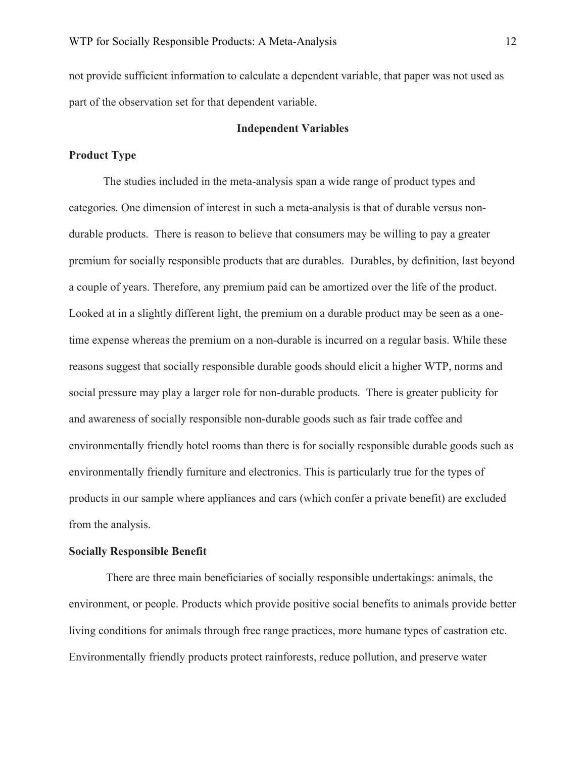not provide sufficient information to calculate a dependent variable, that paper was not used as part of the observation set for that dependent variable.

# **Independent Variables**

# **Product Type**

The studies included in the meta-analysis span a wide range of product types and categories. One dimension of interest in such a meta-analysis is that of durable versus nondurable products. There is reason to believe that consumers may be willing to pay a greater premium for socially responsible products that are durables. Durables, by definition, last beyond a couple of years. Therefore, any premium paid can be amortized over the life of the product. Looked at in a slightly different light, the premium on a durable product may be seen as a onetime expense whereas the premium on a non-durable is incurred on a regular basis. While these reasons suggest that socially responsible durable goods should elicit a higher WTP, norms and social pressure may play a larger role for non-durable products. There is greater publicity for and awareness of socially responsible non-durable goods such as fair trade coffee and environmentally friendly hotel rooms than there is for socially responsible durable goods such as environmentally friendly furniture and electronics. This is particularly true for the types of products in our sample where appliances and cars (which confer a private benefit) are excluded from the analysis.

#### **Socially Responsible Benefit**

There are three main beneficiaries of socially responsible undertakings: animals, the environment, or people. Products which provide positive social benefits to animals provide better living conditions for animals through free range practices, more humane types of castration etc. Environmentally friendly products protect rainforests, reduce pollution, and preserve water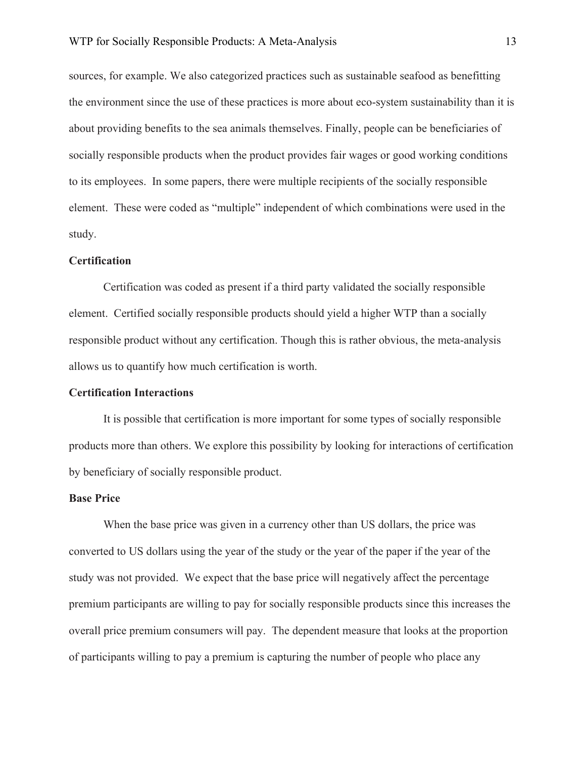sources, for example. We also categorized practices such as sustainable seafood as benefitting the environment since the use of these practices is more about eco-system sustainability than it is about providing benefits to the sea animals themselves. Finally, people can be beneficiaries of socially responsible products when the product provides fair wages or good working conditions to its employees. In some papers, there were multiple recipients of the socially responsible element. These were coded as "multiple" independent of which combinations were used in the study.

### **Certification**

Certification was coded as present if a third party validated the socially responsible element. Certified socially responsible products should yield a higher WTP than a socially responsible product without any certification. Though this is rather obvious, the meta-analysis allows us to quantify how much certification is worth.

## **Certification Interactions**

It is possible that certification is more important for some types of socially responsible products more than others. We explore this possibility by looking for interactions of certification by beneficiary of socially responsible product.

#### **Base Price**

When the base price was given in a currency other than US dollars, the price was converted to US dollars using the year of the study or the year of the paper if the year of the study was not provided. We expect that the base price will negatively affect the percentage premium participants are willing to pay for socially responsible products since this increases the overall price premium consumers will pay. The dependent measure that looks at the proportion of participants willing to pay a premium is capturing the number of people who place any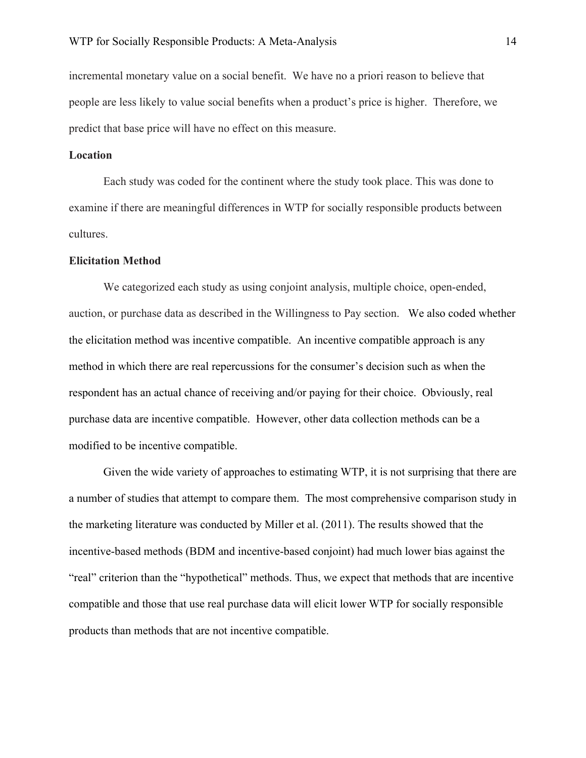incremental monetary value on a social benefit. We have no a priori reason to believe that people are less likely to value social benefits when a product's price is higher. Therefore, we predict that base price will have no effect on this measure.

# **Location**

Each study was coded for the continent where the study took place. This was done to examine if there are meaningful differences in WTP for socially responsible products between cultures.

### **Elicitation Method**

We categorized each study as using conjoint analysis, multiple choice, open-ended, auction, or purchase data as described in the Willingness to Pay section. We also coded whether the elicitation method was incentive compatible. An incentive compatible approach is any method in which there are real repercussions for the consumer's decision such as when the respondent has an actual chance of receiving and/or paying for their choice. Obviously, real purchase data are incentive compatible. However, other data collection methods can be a modified to be incentive compatible.

Given the wide variety of approaches to estimating WTP, it is not surprising that there are a number of studies that attempt to compare them. The most comprehensive comparison study in the marketing literature was conducted by Miller et al. (2011). The results showed that the incentive-based methods (BDM and incentive-based conjoint) had much lower bias against the "real" criterion than the "hypothetical" methods. Thus, we expect that methods that are incentive compatible and those that use real purchase data will elicit lower WTP for socially responsible products than methods that are not incentive compatible.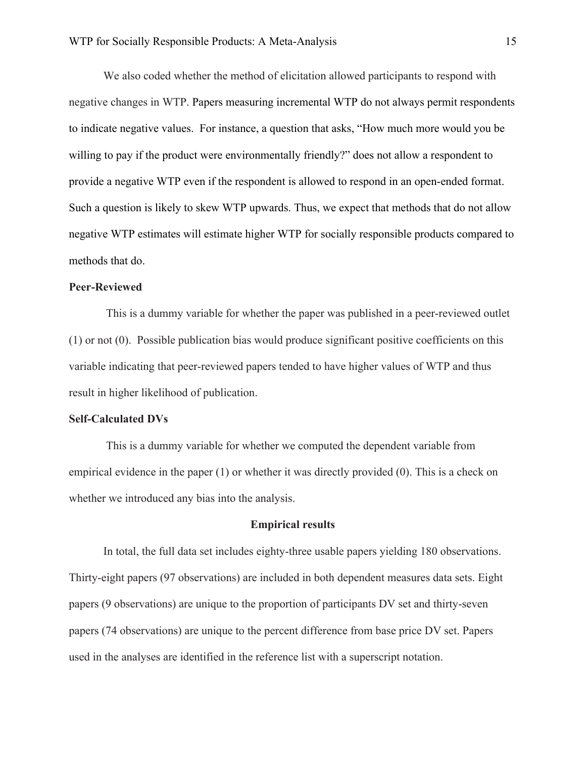We also coded whether the method of elicitation allowed participants to respond with negative changes in WTP. Papers measuring incremental WTP do not always permit respondents to indicate negative values. For instance, a question that asks, "How much more would you be willing to pay if the product were environmentally friendly?" does not allow a respondent to provide a negative WTP even if the respondent is allowed to respond in an open-ended format. Such a question is likely to skew WTP upwards. Thus, we expect that methods that do not allow negative WTP estimates will estimate higher WTP for socially responsible products compared to methods that do.

#### **Peer-Reviewed**

This is a dummy variable for whether the paper was published in a peer-reviewed outlet (1) or not (0). Possible publication bias would produce significant positive coefficients on this variable indicating that peer-reviewed papers tended to have higher values of WTP and thus result in higher likelihood of publication.

#### **Self-Calculated DVs**

This is a dummy variable for whether we computed the dependent variable from empirical evidence in the paper (1) or whether it was directly provided (0). This is a check on whether we introduced any bias into the analysis.

# **Empirical results**

In total, the full data set includes eighty-three usable papers yielding 180 observations. Thirty-eight papers (97 observations) are included in both dependent measures data sets. Eight papers (9 observations) are unique to the proportion of participants DV set and thirty-seven papers (74 observations) are unique to the percent difference from base price DV set. Papers used in the analyses are identified in the reference list with a superscript notation.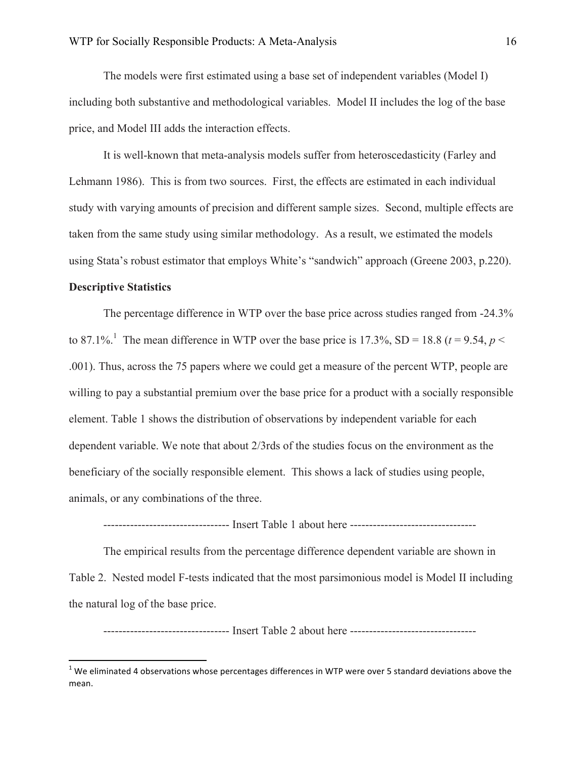The models were first estimated using a base set of independent variables (Model I) including both substantive and methodological variables. Model II includes the log of the base price, and Model III adds the interaction effects.

It is well-known that meta-analysis models suffer from heteroscedasticity (Farley and Lehmann 1986). This is from two sources. First, the effects are estimated in each individual study with varying amounts of precision and different sample sizes. Second, multiple effects are taken from the same study using similar methodology. As a result, we estimated the models using Stata's robust estimator that employs White's "sandwich" approach (Greene 2003, p.220).

# **Descriptive Statistics**

<u> 1989 - Johann Stein, markin film yn y breninn y breninn y breninn y breninn y breninn y breninn y breninn y b</u>

The percentage difference in WTP over the base price across studies ranged from -24.3% to 87.1%<sup>1</sup>. The mean difference in WTP over the base price is 17.3%, SD = 18.8 ( $t = 9.54$ ,  $p <$ .001). Thus, across the 75 papers where we could get a measure of the percent WTP, people are willing to pay a substantial premium over the base price for a product with a socially responsible element. Table 1 shows the distribution of observations by independent variable for each dependent variable. We note that about 2/3rds of the studies focus on the environment as the beneficiary of the socially responsible element. This shows a lack of studies using people, animals, or any combinations of the three.

--------------------------------- Insert Table 1 about here ---------------------------------

The empirical results from the percentage difference dependent variable are shown in Table 2. Nested model F-tests indicated that the most parsimonious model is Model II including the natural log of the base price.

--------------------------------- Insert Table 2 about here ---------------------------------

 $1$  We eliminated 4 observations whose percentages differences in WTP were over 5 standard deviations above the mean.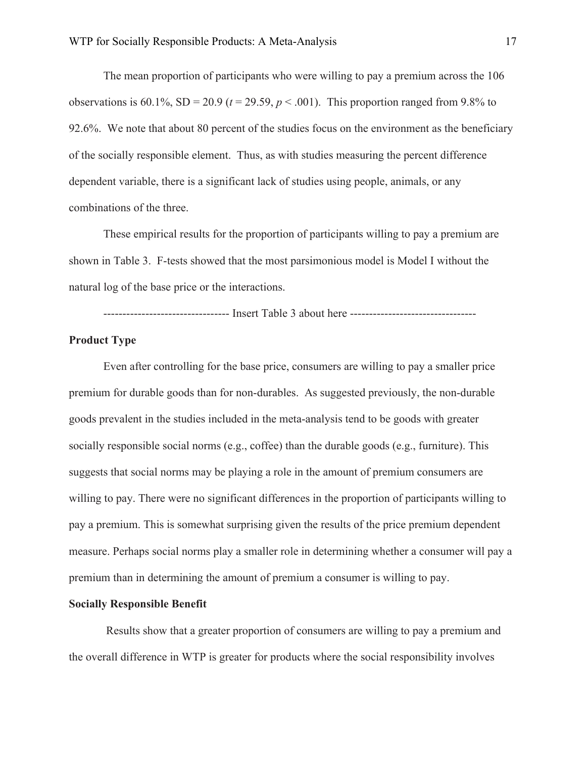The mean proportion of participants who were willing to pay a premium across the 106 observations is  $60.1\%$ ,  $SD = 20.9$  ( $t = 29.59$ ,  $p < .001$ ). This proportion ranged from 9.8% to 92.6%. We note that about 80 percent of the studies focus on the environment as the beneficiary of the socially responsible element. Thus, as with studies measuring the percent difference dependent variable, there is a significant lack of studies using people, animals, or any combinations of the three.

These empirical results for the proportion of participants willing to pay a premium are shown in Table 3. F-tests showed that the most parsimonious model is Model I without the natural log of the base price or the interactions.

--------------------------------- Insert Table 3 about here ---------------------------------

# **Product Type**

Even after controlling for the base price, consumers are willing to pay a smaller price premium for durable goods than for non-durables. As suggested previously, the non-durable goods prevalent in the studies included in the meta-analysis tend to be goods with greater socially responsible social norms (e.g., coffee) than the durable goods (e.g., furniture). This suggests that social norms may be playing a role in the amount of premium consumers are willing to pay. There were no significant differences in the proportion of participants willing to pay a premium. This is somewhat surprising given the results of the price premium dependent measure. Perhaps social norms play a smaller role in determining whether a consumer will pay a premium than in determining the amount of premium a consumer is willing to pay.

#### **Socially Responsible Benefit**

Results show that a greater proportion of consumers are willing to pay a premium and the overall difference in WTP is greater for products where the social responsibility involves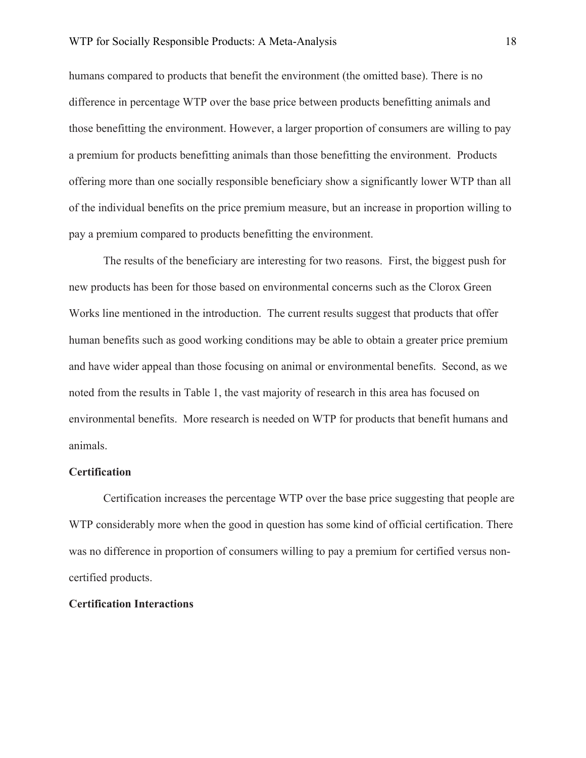humans compared to products that benefit the environment (the omitted base). There is no difference in percentage WTP over the base price between products benefitting animals and those benefitting the environment. However, a larger proportion of consumers are willing to pay a premium for products benefitting animals than those benefitting the environment. Products offering more than one socially responsible beneficiary show a significantly lower WTP than all of the individual benefits on the price premium measure, but an increase in proportion willing to pay a premium compared to products benefitting the environment.

The results of the beneficiary are interesting for two reasons. First, the biggest push for new products has been for those based on environmental concerns such as the Clorox Green Works line mentioned in the introduction. The current results suggest that products that offer human benefits such as good working conditions may be able to obtain a greater price premium and have wider appeal than those focusing on animal or environmental benefits. Second, as we noted from the results in Table 1, the vast majority of research in this area has focused on environmental benefits. More research is needed on WTP for products that benefit humans and animals.

#### **Certification**

Certification increases the percentage WTP over the base price suggesting that people are WTP considerably more when the good in question has some kind of official certification. There was no difference in proportion of consumers willing to pay a premium for certified versus noncertified products.

# **Certification Interactions**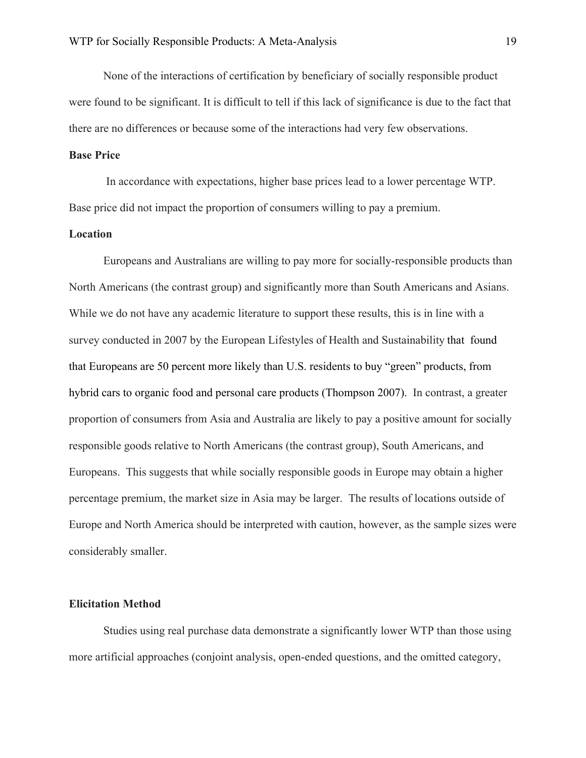None of the interactions of certification by beneficiary of socially responsible product were found to be significant. It is difficult to tell if this lack of significance is due to the fact that there are no differences or because some of the interactions had very few observations.

#### **Base Price**

In accordance with expectations, higher base prices lead to a lower percentage WTP. Base price did not impact the proportion of consumers willing to pay a premium.

# **Location**

Europeans and Australians are willing to pay more for socially-responsible products than North Americans (the contrast group) and significantly more than South Americans and Asians. While we do not have any academic literature to support these results, this is in line with a survey conducted in 2007 by the European Lifestyles of Health and Sustainability that found that Europeans are 50 percent more likely than U.S. residents to buy "green" products, from hybrid cars to organic food and personal care products (Thompson 2007). In contrast, a greater proportion of consumers from Asia and Australia are likely to pay a positive amount for socially responsible goods relative to North Americans (the contrast group), South Americans, and Europeans. This suggests that while socially responsible goods in Europe may obtain a higher percentage premium, the market size in Asia may be larger. The results of locations outside of Europe and North America should be interpreted with caution, however, as the sample sizes were considerably smaller.

#### **Elicitation Method**

Studies using real purchase data demonstrate a significantly lower WTP than those using more artificial approaches (conjoint analysis, open-ended questions, and the omitted category,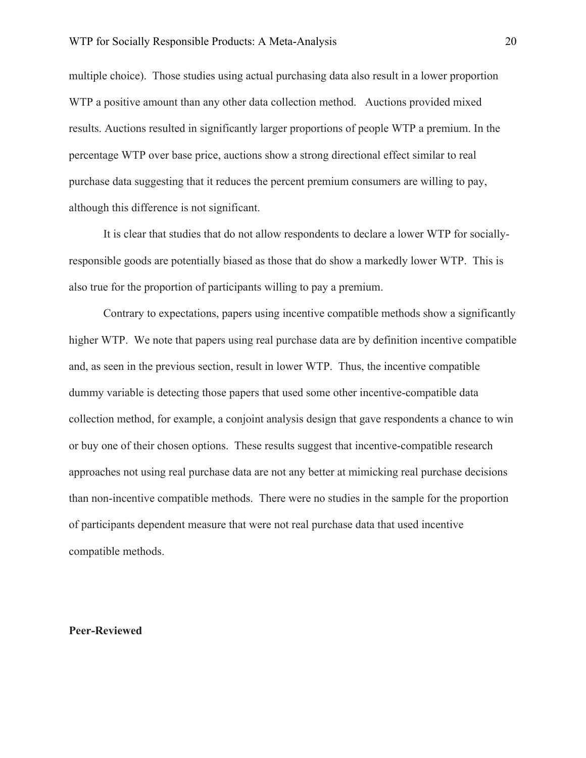multiple choice). Those studies using actual purchasing data also result in a lower proportion WTP a positive amount than any other data collection method. Auctions provided mixed results. Auctions resulted in significantly larger proportions of people WTP a premium. In the percentage WTP over base price, auctions show a strong directional effect similar to real purchase data suggesting that it reduces the percent premium consumers are willing to pay, although this difference is not significant.

It is clear that studies that do not allow respondents to declare a lower WTP for sociallyresponsible goods are potentially biased as those that do show a markedly lower WTP. This is also true for the proportion of participants willing to pay a premium.

Contrary to expectations, papers using incentive compatible methods show a significantly higher WTP. We note that papers using real purchase data are by definition incentive compatible and, as seen in the previous section, result in lower WTP. Thus, the incentive compatible dummy variable is detecting those papers that used some other incentive-compatible data collection method, for example, a conjoint analysis design that gave respondents a chance to win or buy one of their chosen options. These results suggest that incentive-compatible research approaches not using real purchase data are not any better at mimicking real purchase decisions than non-incentive compatible methods. There were no studies in the sample for the proportion of participants dependent measure that were not real purchase data that used incentive compatible methods.

# **Peer-Reviewed**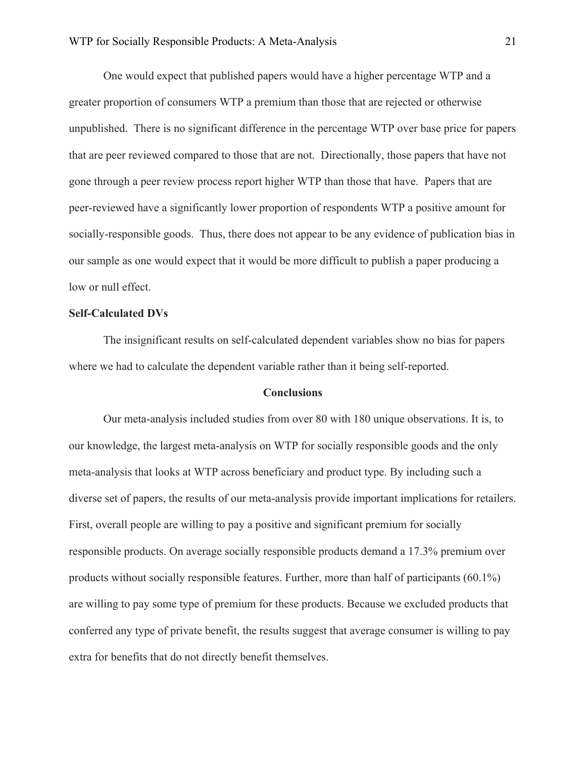One would expect that published papers would have a higher percentage WTP and a greater proportion of consumers WTP a premium than those that are rejected or otherwise unpublished. There is no significant difference in the percentage WTP over base price for papers that are peer reviewed compared to those that are not. Directionally, those papers that have not gone through a peer review process report higher WTP than those that have. Papers that are peer-reviewed have a significantly lower proportion of respondents WTP a positive amount for socially-responsible goods. Thus, there does not appear to be any evidence of publication bias in our sample as one would expect that it would be more difficult to publish a paper producing a low or null effect.

# **Self-Calculated DVs**

The insignificant results on self-calculated dependent variables show no bias for papers where we had to calculate the dependent variable rather than it being self-reported.

#### **Conclusions**

Our meta-analysis included studies from over 80 with 180 unique observations. It is, to our knowledge, the largest meta-analysis on WTP for socially responsible goods and the only meta-analysis that looks at WTP across beneficiary and product type. By including such a diverse set of papers, the results of our meta-analysis provide important implications for retailers. First, overall people are willing to pay a positive and significant premium for socially responsible products. On average socially responsible products demand a 17.3% premium over products without socially responsible features. Further, more than half of participants (60.1%) are willing to pay some type of premium for these products. Because we excluded products that conferred any type of private benefit, the results suggest that average consumer is willing to pay extra for benefits that do not directly benefit themselves.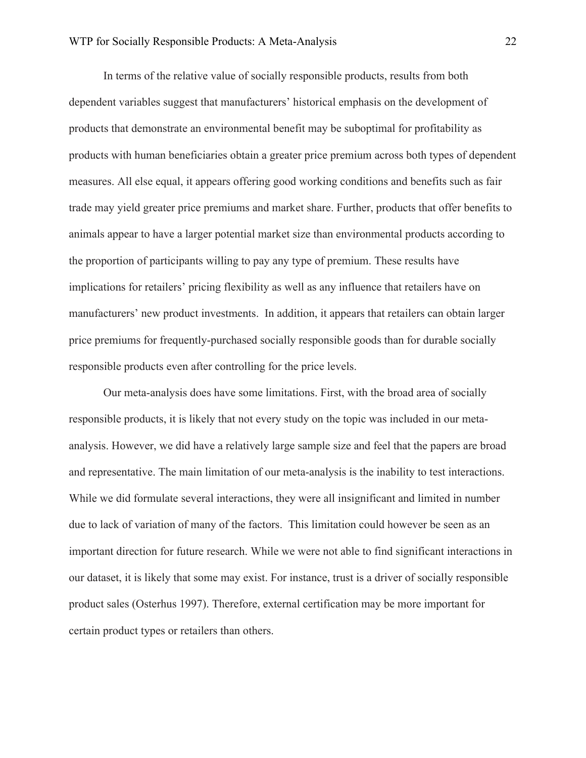In terms of the relative value of socially responsible products, results from both dependent variables suggest that manufacturers' historical emphasis on the development of products that demonstrate an environmental benefit may be suboptimal for profitability as products with human beneficiaries obtain a greater price premium across both types of dependent measures. All else equal, it appears offering good working conditions and benefits such as fair trade may yield greater price premiums and market share. Further, products that offer benefits to animals appear to have a larger potential market size than environmental products according to the proportion of participants willing to pay any type of premium. These results have implications for retailers' pricing flexibility as well as any influence that retailers have on manufacturers' new product investments. In addition, it appears that retailers can obtain larger price premiums for frequently-purchased socially responsible goods than for durable socially responsible products even after controlling for the price levels.

Our meta-analysis does have some limitations. First, with the broad area of socially responsible products, it is likely that not every study on the topic was included in our metaanalysis. However, we did have a relatively large sample size and feel that the papers are broad and representative. The main limitation of our meta-analysis is the inability to test interactions. While we did formulate several interactions, they were all insignificant and limited in number due to lack of variation of many of the factors. This limitation could however be seen as an important direction for future research. While we were not able to find significant interactions in our dataset, it is likely that some may exist. For instance, trust is a driver of socially responsible product sales (Osterhus 1997). Therefore, external certification may be more important for certain product types or retailers than others.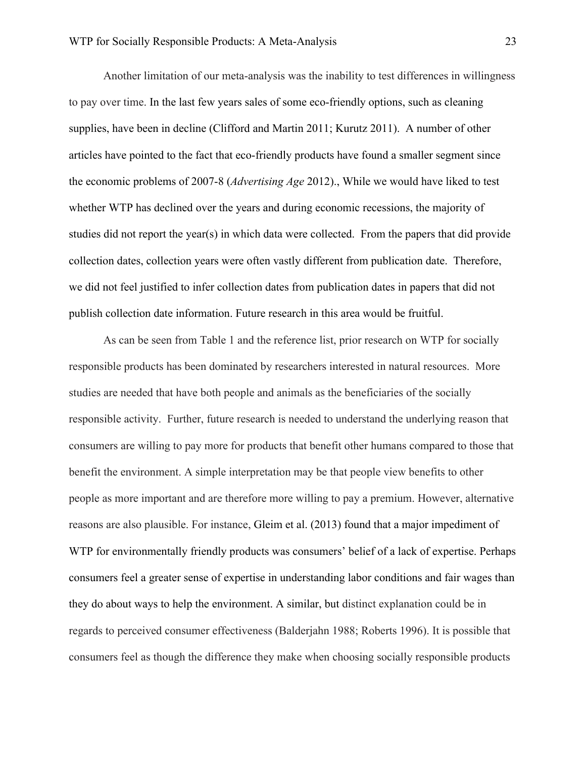Another limitation of our meta-analysis was the inability to test differences in willingness to pay over time. In the last few years sales of some eco-friendly options, such as cleaning supplies, have been in decline (Clifford and Martin 2011; Kurutz 2011). A number of other articles have pointed to the fact that eco-friendly products have found a smaller segment since the economic problems of 2007-8 (*Advertising Age* 2012)., While we would have liked to test whether WTP has declined over the years and during economic recessions, the majority of studies did not report the year(s) in which data were collected. From the papers that did provide collection dates, collection years were often vastly different from publication date. Therefore, we did not feel justified to infer collection dates from publication dates in papers that did not publish collection date information. Future research in this area would be fruitful.

As can be seen from Table 1 and the reference list, prior research on WTP for socially responsible products has been dominated by researchers interested in natural resources. More studies are needed that have both people and animals as the beneficiaries of the socially responsible activity. Further, future research is needed to understand the underlying reason that consumers are willing to pay more for products that benefit other humans compared to those that benefit the environment. A simple interpretation may be that people view benefits to other people as more important and are therefore more willing to pay a premium. However, alternative reasons are also plausible. For instance, Gleim et al. (2013) found that a major impediment of WTP for environmentally friendly products was consumers' belief of a lack of expertise. Perhaps consumers feel a greater sense of expertise in understanding labor conditions and fair wages than they do about ways to help the environment. A similar, but distinct explanation could be in regards to perceived consumer effectiveness (Balderjahn 1988; Roberts 1996). It is possible that consumers feel as though the difference they make when choosing socially responsible products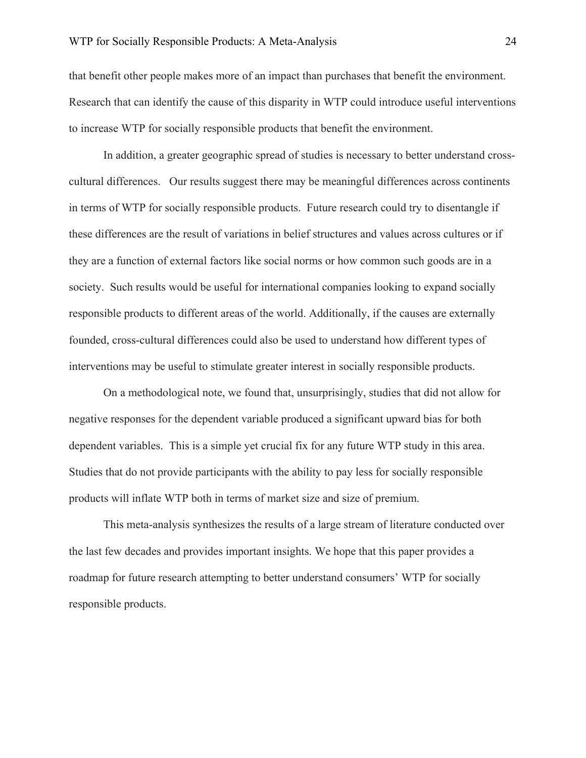that benefit other people makes more of an impact than purchases that benefit the environment. Research that can identify the cause of this disparity in WTP could introduce useful interventions to increase WTP for socially responsible products that benefit the environment.

In addition, a greater geographic spread of studies is necessary to better understand crosscultural differences. Our results suggest there may be meaningful differences across continents in terms of WTP for socially responsible products. Future research could try to disentangle if these differences are the result of variations in belief structures and values across cultures or if they are a function of external factors like social norms or how common such goods are in a society. Such results would be useful for international companies looking to expand socially responsible products to different areas of the world. Additionally, if the causes are externally founded, cross-cultural differences could also be used to understand how different types of interventions may be useful to stimulate greater interest in socially responsible products.

On a methodological note, we found that, unsurprisingly, studies that did not allow for negative responses for the dependent variable produced a significant upward bias for both dependent variables. This is a simple yet crucial fix for any future WTP study in this area. Studies that do not provide participants with the ability to pay less for socially responsible products will inflate WTP both in terms of market size and size of premium.

This meta-analysis synthesizes the results of a large stream of literature conducted over the last few decades and provides important insights. We hope that this paper provides a roadmap for future research attempting to better understand consumers' WTP for socially responsible products.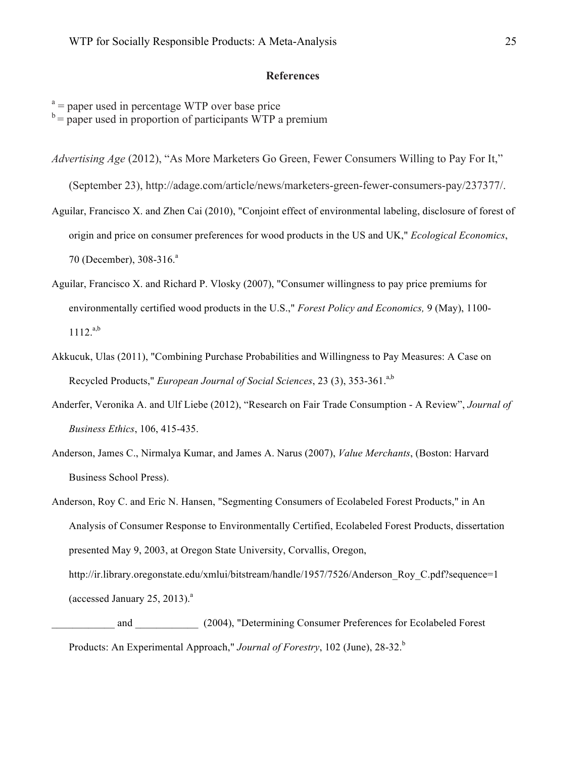# **References**

 $a =$  paper used in percentage WTP over base price

 $b =$  paper used in proportion of participants WTP a premium

*Advertising Age* (2012), "As More Marketers Go Green, Fewer Consumers Willing to Pay For It,"

(September 23), http://adage.com/article/news/marketers-green-fewer-consumers-pay/237377/.

Aguilar, Francisco X. and Zhen Cai (2010), "Conjoint effect of environmental labeling, disclosure of forest of origin and price on consumer preferences for wood products in the US and UK," *Ecological Economics*, 70 (December), 308-316.<sup>a</sup>

- Aguilar, Francisco X. and Richard P. Vlosky (2007), "Consumer willingness to pay price premiums for environmentally certified wood products in the U.S.," *Forest Policy and Economics,* 9 (May), 1100-  $1112.^{a,b}$
- Akkucuk, Ulas (2011), "Combining Purchase Probabilities and Willingness to Pay Measures: A Case on Recycled Products," *European Journal of Social Sciences*, 23 (3), 353-361.a,b
- Anderfer, Veronika A. and Ulf Liebe (2012), "Research on Fair Trade Consumption A Review", *Journal of Business Ethics*, 106, 415-435.
- Anderson, James C., Nirmalya Kumar, and James A. Narus (2007), *Value Merchants*, (Boston: Harvard Business School Press).

Anderson, Roy C. and Eric N. Hansen, "Segmenting Consumers of Ecolabeled Forest Products," in An Analysis of Consumer Response to Environmentally Certified, Ecolabeled Forest Products, dissertation presented May 9, 2003, at Oregon State University, Corvallis, Oregon, http://ir.library.oregonstate.edu/xmlui/bitstream/handle/1957/7526/Anderson\_Roy\_C.pdf?sequence=1 (accessed January 25, 2013). $a$ 

\_\_\_\_\_\_\_\_\_\_\_\_ and \_\_\_\_\_\_\_\_\_\_\_\_ (2004), "Determining Consumer Preferences for Ecolabeled Forest Products: An Experimental Approach," *Journal of Forestry*, 102 (June), 28-32.<sup>b</sup>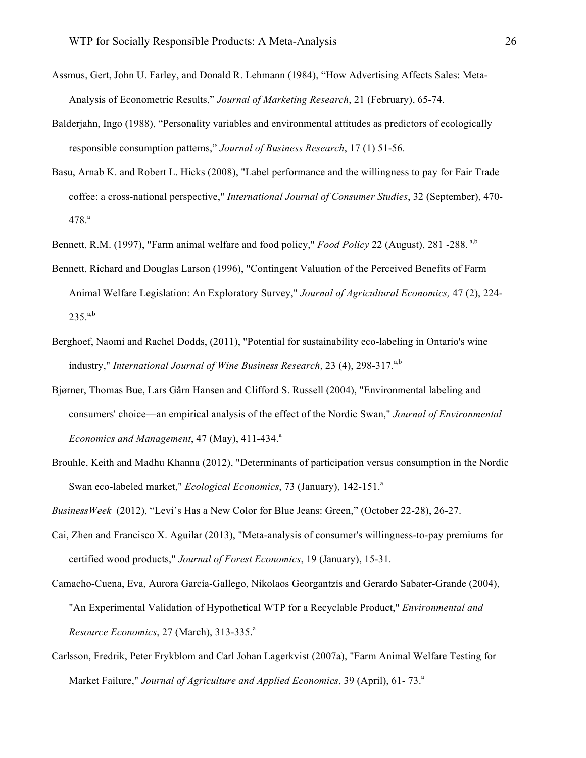- Assmus, Gert, John U. Farley, and Donald R. Lehmann (1984), "How Advertising Affects Sales: Meta-Analysis of Econometric Results," *Journal of Marketing Research*, 21 (February), 65-74.
- Balderjahn, Ingo (1988), "Personality variables and environmental attitudes as predictors of ecologically responsible consumption patterns," *Journal of Business Research*, 17 (1) 51-56.
- Basu, Arnab K. and Robert L. Hicks (2008), "Label performance and the willingness to pay for Fair Trade coffee: a cross-national perspective," *International Journal of Consumer Studies*, 32 (September), 470- 478.ª
- Bennett, R.M. (1997), "Farm animal welfare and food policy," *Food Policy* 22 (August), 281 -288. a,b
- Bennett, Richard and Douglas Larson (1996), "Contingent Valuation of the Perceived Benefits of Farm Animal Welfare Legislation: An Exploratory Survey," *Journal of Agricultural Economics,* 47 (2), 224-  $235.^{a,b}$
- Berghoef, Naomi and Rachel Dodds, (2011), "Potential for sustainability eco-labeling in Ontario's wine industry," *International Journal of Wine Business Research*, 23 (4), 298-317.<sup>a,b</sup>
- Bjørner, Thomas Bue, Lars Gårn Hansen and Clifford S. Russell (2004), "Environmental labeling and consumers' choice—an empirical analysis of the effect of the Nordic Swan," *Journal of Environmental Economics and Management*, 47 (May), 411-434.<sup>a</sup>
- Brouhle, Keith and Madhu Khanna (2012), "Determinants of participation versus consumption in the Nordic Swan eco-labeled market," *Ecological Economics*, 73 (January), 142-151.<sup>a</sup>

*BusinessWeek* (2012), "Levi's Has a New Color for Blue Jeans: Green," (October 22-28), 26-27.

- Cai, Zhen and Francisco X. Aguilar (2013), "Meta-analysis of consumer's willingness-to-pay premiums for certified wood products," *Journal of Forest Economics*, 19 (January), 15-31.
- Camacho-Cuena, Eva, Aurora García-Gallego, Nikolaos Georgantzís and Gerardo Sabater-Grande (2004), "An Experimental Validation of Hypothetical WTP for a Recyclable Product," *Environmental and Resource Economics*, 27 (March), 313-335.<sup>a</sup>
- Carlsson, Fredrik, Peter Frykblom and Carl Johan Lagerkvist (2007a), "Farm Animal Welfare Testing for Market Failure," *Journal of Agriculture and Applied Economics*, 39 (April), 61-73.<sup>a</sup>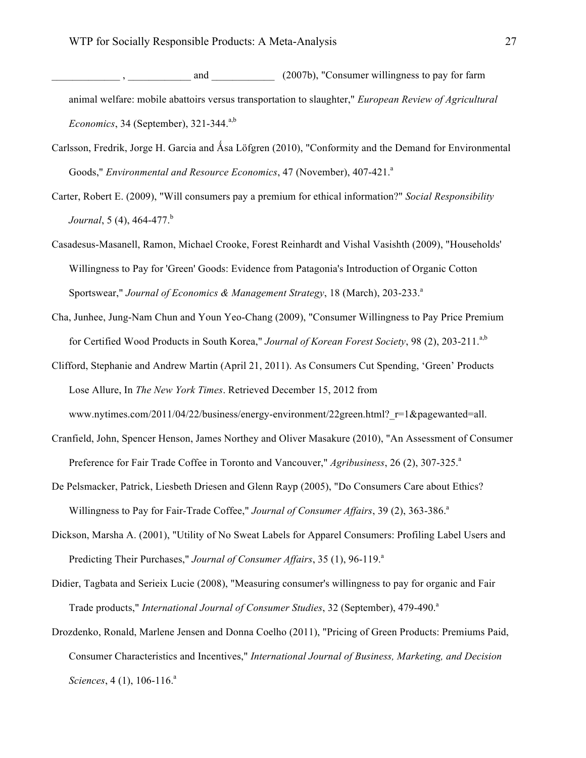- and  $(2007b)$ , "Consumer willingness to pay for farm animal welfare: mobile abattoirs versus transportation to slaughter," *European Review of Agricultural*   $Economics, 34$  (September),  $321-344$ <sup>a,b</sup>
- Carlsson, Fredrik, Jorge H. Garcia and Åsa Löfgren (2010), "Conformity and the Demand for Environmental Goods," *Environmental and Resource Economics*, 47 (November), 407-421.<sup>a</sup>
- Carter, Robert E. (2009), "Will consumers pay a premium for ethical information?" *Social Responsibility Journal*, 5 (4), 464-477.<sup>b</sup>
- Casadesus-Masanell, Ramon, Michael Crooke, Forest Reinhardt and Vishal Vasishth (2009), "Households' Willingness to Pay for 'Green' Goods: Evidence from Patagonia's Introduction of Organic Cotton Sportswear," *Journal of Economics & Management Strategy*, 18 (March), 203-233.<sup>a</sup>
- Cha, Junhee, Jung-Nam Chun and Youn Yeo-Chang (2009), "Consumer Willingness to Pay Price Premium for Certified Wood Products in South Korea," *Journal of Korean Forest Society*, 98 (2), 203-211.<sup>a,b</sup>
- Clifford, Stephanie and Andrew Martin (April 21, 2011). As Consumers Cut Spending, 'Green' Products Lose Allure, In *The New York Times*. Retrieved December 15, 2012 from www.nytimes.com/2011/04/22/business/energy-environment/22green.html?\_r=1&pagewanted=all.
- Cranfield, John, Spencer Henson, James Northey and Oliver Masakure (2010), "An Assessment of Consumer Preference for Fair Trade Coffee in Toronto and Vancouver," *Agribusiness*, 26 (2), 307-325.<sup>a</sup>
- De Pelsmacker, Patrick, Liesbeth Driesen and Glenn Rayp (2005), "Do Consumers Care about Ethics? Willingness to Pay for Fair-Trade Coffee," Journal of Consumer Affairs, 39 (2), 363-386.<sup>a</sup>
- Dickson, Marsha A. (2001), "Utility of No Sweat Labels for Apparel Consumers: Profiling Label Users and Predicting Their Purchases," *Journal of Consumer Affairs*, 35 (1), 96-119.<sup>a</sup>
- Didier, Tagbata and Serieix Lucie (2008), "Measuring consumer's willingness to pay for organic and Fair Trade products," *International Journal of Consumer Studies*, 32 (September), 479-490.<sup>a</sup>
- Drozdenko, Ronald, Marlene Jensen and Donna Coelho (2011), "Pricing of Green Products: Premiums Paid, Consumer Characteristics and Incentives," *International Journal of Business, Marketing, and Decision Sciences*, 4(1), 106-116.<sup>a</sup>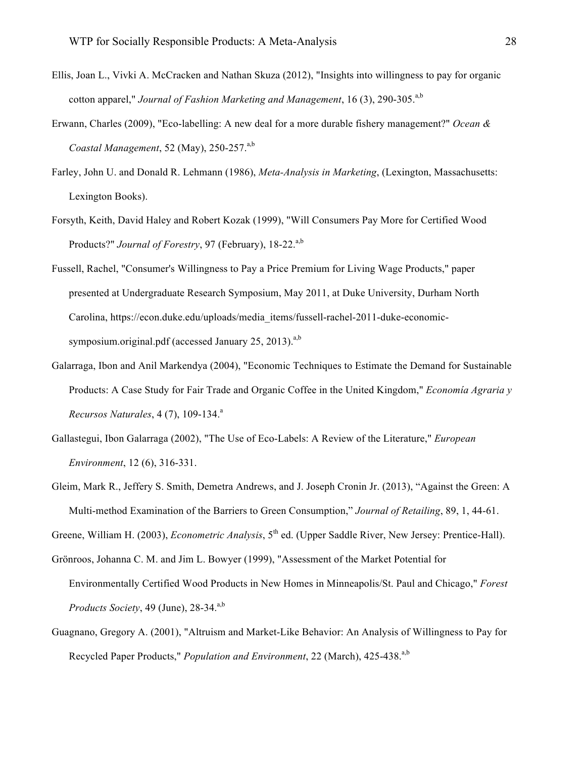- Ellis, Joan L., Vivki A. McCracken and Nathan Skuza (2012), "Insights into willingness to pay for organic cotton apparel," *Journal of Fashion Marketing and Management*, 16 (3), 290-305.<sup>a,b</sup>
- Erwann, Charles (2009), "Eco-labelling: A new deal for a more durable fishery management?" *Ocean & Coastal Management*, 52 (May), 250-257.<sup>a,b</sup>
- Farley, John U. and Donald R. Lehmann (1986), *Meta-Analysis in Marketing*, (Lexington, Massachusetts: Lexington Books).
- Forsyth, Keith, David Haley and Robert Kozak (1999), "Will Consumers Pay More for Certified Wood Products?" *Journal of Forestry*, 97 (February), 18-22.<sup>a,b</sup>
- Fussell, Rachel, "Consumer's Willingness to Pay a Price Premium for Living Wage Products," paper presented at Undergraduate Research Symposium, May 2011, at Duke University, Durham North Carolina, https://econ.duke.edu/uploads/media\_items/fussell-rachel-2011-duke-economicsymposium.original.pdf (accessed January 25, 2013). $a,b$
- Galarraga, Ibon and Anil Markendya (2004), "Economic Techniques to Estimate the Demand for Sustainable Products: A Case Study for Fair Trade and Organic Coffee in the United Kingdom," *Economía Agraria y Recursos Naturales*, 4 (7), 109-134.<sup>a</sup>
- Gallastegui, Ibon Galarraga (2002), "The Use of Eco-Labels: A Review of the Literature," *European Environment*, 12 (6), 316-331.
- Gleim, Mark R., Jeffery S. Smith, Demetra Andrews, and J. Joseph Cronin Jr. (2013), "Against the Green: A Multi-method Examination of the Barriers to Green Consumption," *Journal of Retailing*, 89, 1, 44-61.
- Greene, William H. (2003), *Econometric Analysis*, 5<sup>th</sup> ed. (Upper Saddle River, New Jersey: Prentice-Hall).
- Grönroos, Johanna C. M. and Jim L. Bowyer (1999), "Assessment of the Market Potential for
	- Environmentally Certified Wood Products in New Homes in Minneapolis/St. Paul and Chicago," *Forest Products Society*, 49 (June), 28-34.<sup>a,b</sup>
- Guagnano, Gregory A. (2001), "Altruism and Market-Like Behavior: An Analysis of Willingness to Pay for Recycled Paper Products," *Population and Environment*, 22 (March), 425-438.<sup>a,b</sup>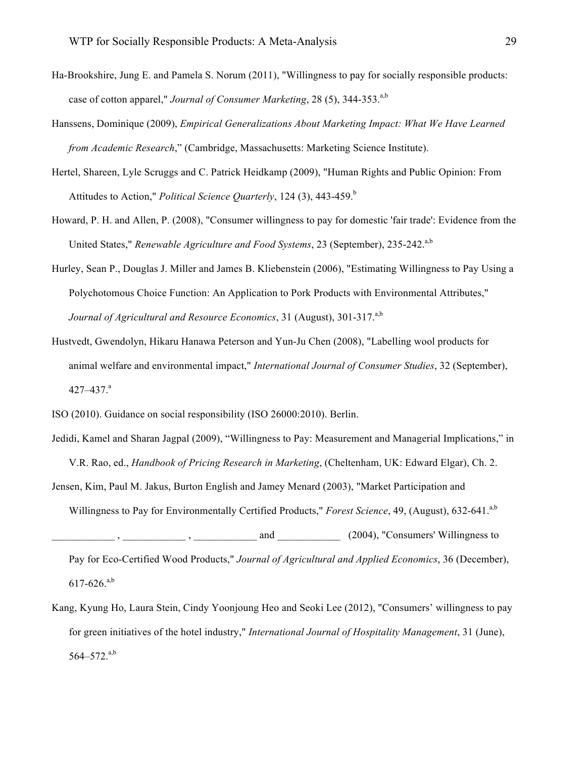Ha-Brookshire, Jung E. and Pamela S. Norum (2011), "Willingness to pay for socially responsible products: case of cotton apparel," *Journal of Consumer Marketing*, 28 (5), 344-353.<sup>a,b</sup>

- Hanssens, Dominique (2009), *Empirical Generalizations About Marketing Impact: What We Have Learned from Academic Research*," (Cambridge, Massachusetts: Marketing Science Institute).
- Hertel, Shareen, Lyle Scruggs and C. Patrick Heidkamp (2009), "Human Rights and Public Opinion: From Attitudes to Action," *Political Science Quarterly*, 124 (3), 443-459.<sup>b</sup>
- Howard, P. H. and Allen, P. (2008), "Consumer willingness to pay for domestic 'fair trade': Evidence from the United States," *Renewable Agriculture and Food Systems*, 23 (September), 235-242.a,b
- Hurley, Sean P., Douglas J. Miller and James B. Kliebenstein (2006), "Estimating Willingness to Pay Using a Polychotomous Choice Function: An Application to Pork Products with Environmental Attributes," *Journal of Agricultural and Resource Economics*, 31 (August), 301-317.<sup>a,b</sup>
- Hustvedt, Gwendolyn, Hikaru Hanawa Peterson and Yun-Ju Chen (2008), "Labelling wool products for animal welfare and environmental impact," *International Journal of Consumer Studies*, 32 (September), 427–437. $a$
- ISO (2010). Guidance on social responsibility (ISO 26000:2010). Berlin.
- Jedidi, Kamel and Sharan Jagpal (2009), "Willingness to Pay: Measurement and Managerial Implications," in V.R. Rao, ed., *Handbook of Pricing Research in Marketing*, (Cheltenham, UK: Edward Elgar), Ch. 2. Jensen, Kim, Paul M. Jakus, Burton English and Jamey Menard (2003), "Market Participation and

Willingness to Pay for Environmentally Certified Products," *Forest Science*, 49, (August), 632-641.<sup>a,b</sup>

\_\_\_\_\_\_\_\_\_\_\_\_ , \_\_\_\_\_\_\_\_\_\_\_\_ , \_\_\_\_\_\_\_\_\_\_\_\_ and \_\_\_\_\_\_\_\_\_\_\_\_ (2004), "Consumers' Willingness to

Pay for Eco-Certified Wood Products," *Journal of Agricultural and Applied Economics*, 36 (December),  $617-626$ .<sup>a,b</sup>

Kang, Kyung Ho, Laura Stein, Cindy Yoonjoung Heo and Seoki Lee (2012), "Consumers' willingness to pay for green initiatives of the hotel industry," *International Journal of Hospitality Management*, 31 (June),  $564 - 572$ .<sup>a,b</sup>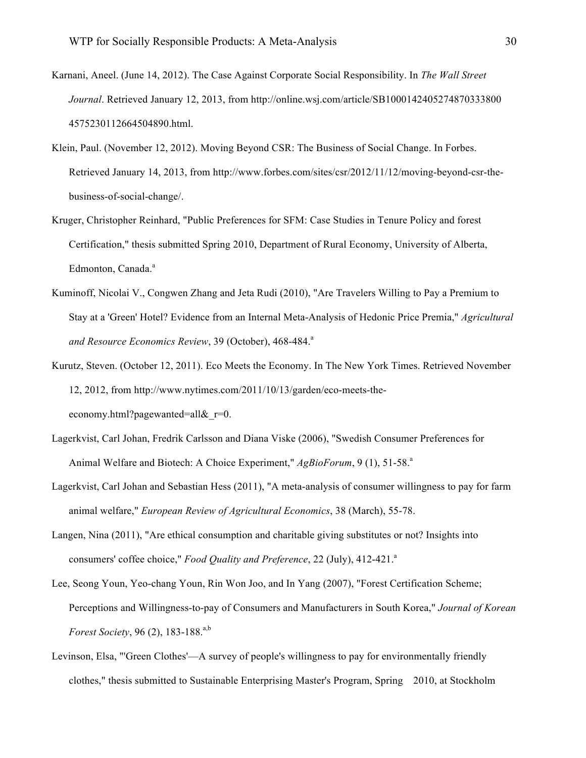- Karnani, Aneel. (June 14, 2012). The Case Against Corporate Social Responsibility. In *The Wall Street Journal*. Retrieved January 12, 2013, from http://online.wsj.com/article/SB1000142405274870333800 4575230112664504890.html.
- Klein, Paul. (November 12, 2012). Moving Beyond CSR: The Business of Social Change. In Forbes. Retrieved January 14, 2013, from http://www.forbes.com/sites/csr/2012/11/12/moving-beyond-csr-thebusiness-of-social-change/.
- Kruger, Christopher Reinhard, "Public Preferences for SFM: Case Studies in Tenure Policy and forest Certification," thesis submitted Spring 2010, Department of Rural Economy, University of Alberta, Edmonton, Canada.<sup>a</sup>
- Kuminoff, Nicolai V., Congwen Zhang and Jeta Rudi (2010), "Are Travelers Willing to Pay a Premium to Stay at a 'Green' Hotel? Evidence from an Internal Meta-Analysis of Hedonic Price Premia," *Agricultural*  and Resource Economics Review, 39 (October), 468-484.<sup>a</sup>
- Kurutz, Steven. (October 12, 2011). Eco Meets the Economy. In The New York Times. Retrieved November 12, 2012, from http://www.nytimes.com/2011/10/13/garden/eco-meets-theeconomy.html?pagewanted=all& r=0.
- Lagerkvist, Carl Johan, Fredrik Carlsson and Diana Viske (2006), "Swedish Consumer Preferences for Animal Welfare and Biotech: A Choice Experiment," *AgBioForum*, 9 (1), 51-58.<sup>a</sup>
- Lagerkvist, Carl Johan and Sebastian Hess (2011), "A meta-analysis of consumer willingness to pay for farm animal welfare," *European Review of Agricultural Economics*, 38 (March), 55-78.
- Langen, Nina (2011), "Are ethical consumption and charitable giving substitutes or not? Insights into consumers' coffee choice," *Food Quality and Preference*, 22 (July), 412-421.<sup>a</sup>
- Lee, Seong Youn, Yeo-chang Youn, Rin Won Joo, and In Yang (2007), "Forest Certification Scheme; Perceptions and Willingness-to-pay of Consumers and Manufacturers in South Korea," *Journal of Korean Forest Society*, 96 (2), 183-188.<sup>a,b</sup>
- Levinson, Elsa, "'Green Clothes'—A survey of people's willingness to pay for environmentally friendly clothes," thesis submitted to Sustainable Enterprising Master's Program, Spring 2010, at Stockholm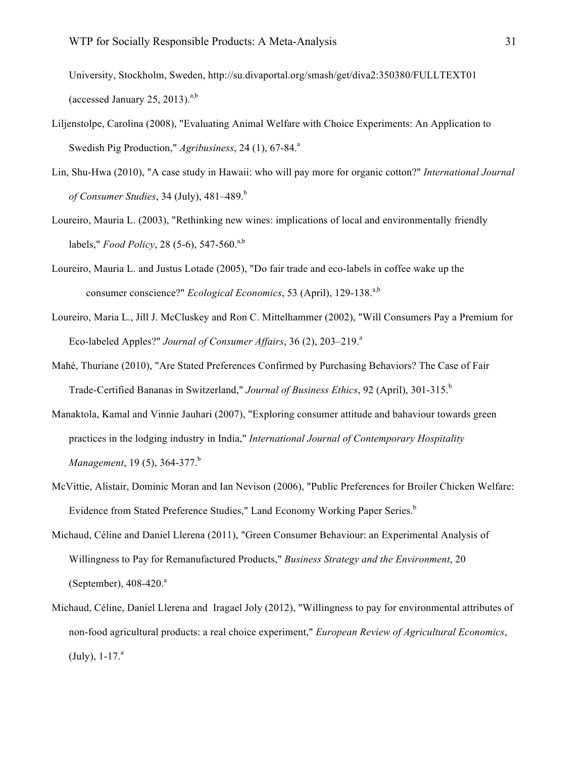University, Stockholm, Sweden, http://su.divaportal.org/smash/get/diva2:350380/FULLTEXT01 (accessed January 25, 2013). $a,b$ 

- Liljenstolpe, Carolina (2008), "Evaluating Animal Welfare with Choice Experiments: An Application to Swedish Pig Production," *Agribusiness*, 24 (1), 67-84.<sup>a</sup>
- Lin, Shu-Hwa (2010), "A case study in Hawaii: who will pay more for organic cotton?" *International Journal of Consumer Studies*, 34 (July), 481–489.<sup>b</sup>
- Loureiro, Mauria L. (2003), "Rethinking new wines: implications of local and environmentally friendly labels," *Food Policy*, 28 (5-6), 547-560.<sup>a,b</sup>
- Loureiro, Mauria L. and Justus Lotade (2005), "Do fair trade and eco-labels in coffee wake up the consumer conscience?" *Ecological Economics*, 53 (April), 129-138.<sup>a,b</sup>
- Loureiro, Maria L., Jill J. McCluskey and Ron C. Mittelhammer (2002), "Will Consumers Pay a Premium for Eco-labeled Apples?" *Journal of Consumer Affairs*, 36 (2), 203–219.<sup>a</sup>
- Mahé, Thuriane (2010), "Are Stated Preferences Confirmed by Purchasing Behaviors? The Case of Fair Trade-Certified Bananas in Switzerland," *Journal of Business Ethics*, 92 (April), 301-315.<sup>b</sup>
- Manaktola, Kamal and Vinnie Jauhari (2007), "Exploring consumer attitude and bahaviour towards green practices in the lodging industry in India," *International Journal of Contemporary Hospitality Management*, 19(5), 364-377.<sup>b</sup>
- McVittie, Alistair, Dominic Moran and Ian Nevison (2006), "Public Preferences for Broiler Chicken Welfare: Evidence from Stated Preference Studies," Land Economy Working Paper Series.<sup>b</sup>
- Michaud, Céline and Daniel Llerena (2011), "Green Consumer Behaviour: an Experimental Analysis of Willingness to Pay for Remanufactured Products," *Business Strategy and the Environment*, 20 (September),  $408-420$ <sup>a</sup>
- Michaud, Céline, Daniel Llerena and Iragael Joly (2012), "Willingness to pay for environmental attributes of non-food agricultural products: a real choice experiment," *European Review of Agricultural Economics*,  $(July), 1-17<sup>a</sup>$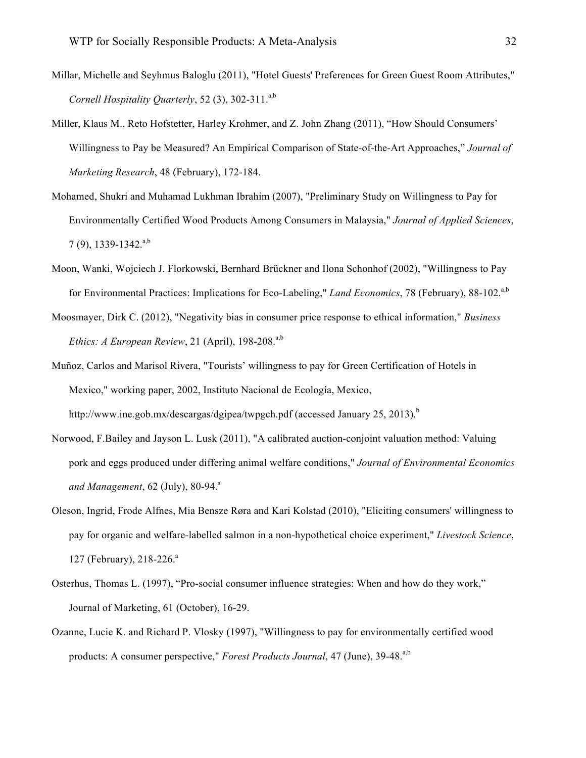- Millar, Michelle and Seyhmus Baloglu (2011), "Hotel Guests' Preferences for Green Guest Room Attributes," *Cornell Hospitality Quarterly*, 52 (3), 302-311.<sup>a,b</sup>
- Miller, Klaus M., Reto Hofstetter, Harley Krohmer, and Z. John Zhang (2011), "How Should Consumers' Willingness to Pay be Measured? An Empirical Comparison of State-of-the-Art Approaches," *Journal of Marketing Research*, 48 (February), 172-184.
- Mohamed, Shukri and Muhamad Lukhman Ibrahim (2007), "Preliminary Study on Willingness to Pay for Environmentally Certified Wood Products Among Consumers in Malaysia," *Journal of Applied Sciences*,  $7(9)$ , 1339-1342.<sup>a,b</sup>
- Moon, Wanki, Wojciech J. Florkowski, Bernhard Brückner and Ilona Schonhof (2002), "Willingness to Pay for Environmental Practices: Implications for Eco-Labeling," *Land Economics*, 78 (February), 88-102.<sup>a,b</sup>
- Moosmayer, Dirk C. (2012), "Negativity bias in consumer price response to ethical information," *Business Ethics: A European Review*, 21 (April),  $198-208$ <sup>,a,b</sup>
- Muñoz, Carlos and Marisol Rivera, "Tourists' willingness to pay for Green Certification of Hotels in Mexico," working paper, 2002, Instituto Nacional de Ecología, Mexico, http://www.ine.gob.mx/descargas/dgipea/twpgch.pdf (accessed January 25, 2013).<sup>b</sup>
- Norwood, F.Bailey and Jayson L. Lusk (2011), "A calibrated auction-conjoint valuation method: Valuing pork and eggs produced under differing animal welfare conditions," *Journal of Environmental Economics and Management*, 62 (July), 80-94.<sup>a</sup>
- Oleson, Ingrid, Frode Alfnes, Mia Bensze Røra and Kari Kolstad (2010), "Eliciting consumers' willingness to pay for organic and welfare-labelled salmon in a non-hypothetical choice experiment," *Livestock Science*, 127 (February), 218-226.<sup>a</sup>
- Osterhus, Thomas L. (1997), "Pro-social consumer influence strategies: When and how do they work," Journal of Marketing, 61 (October), 16-29.
- Ozanne, Lucie K. and Richard P. Vlosky (1997), "Willingness to pay for environmentally certified wood products: A consumer perspective," *Forest Products Journal*, 47 (June), 39-48.<sup>a,b</sup>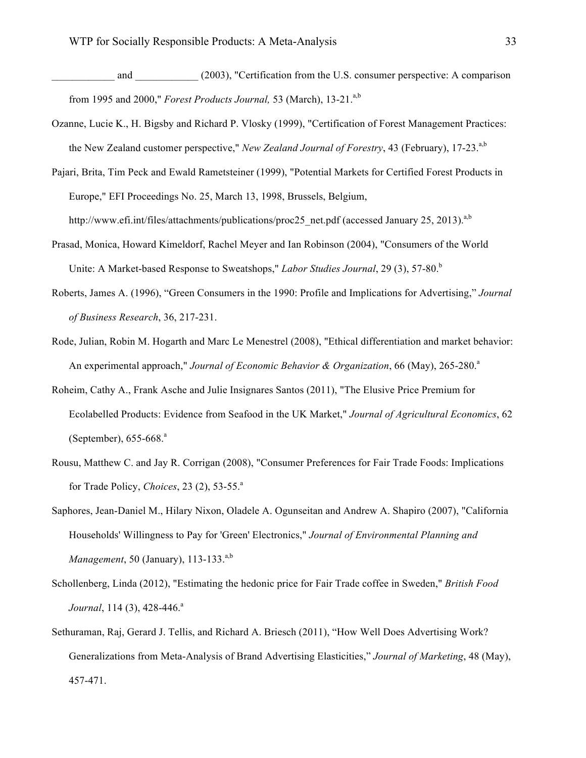- and (2003), "Certification from the U.S. consumer perspective: A comparison from 1995 and 2000," *Forest Products Journal*, 53 (March), 13-21.<sup>a,b</sup>
- Ozanne, Lucie K., H. Bigsby and Richard P. Vlosky (1999), "Certification of Forest Management Practices: the New Zealand customer perspective," *New Zealand Journal of Forestry*, 43 (February), 17-23.<sup>a,b</sup>
- Pajari, Brita, Tim Peck and Ewald Rametsteiner (1999), "Potential Markets for Certified Forest Products in Europe," EFI Proceedings No. 25, March 13, 1998, Brussels, Belgium,

http://www.efi.int/files/attachments/publications/proc25\_net.pdf (accessed January 25, 2013).<sup>a,b</sup>

- Prasad, Monica, Howard Kimeldorf, Rachel Meyer and Ian Robinson (2004), "Consumers of the World Unite: A Market-based Response to Sweatshops," *Labor Studies Journal*, 29 (3), 57-80.<sup>b</sup>
- Roberts, James A. (1996), "Green Consumers in the 1990: Profile and Implications for Advertising," *Journal of Business Research*, 36, 217-231.
- Rode, Julian, Robin M. Hogarth and Marc Le Menestrel (2008), "Ethical differentiation and market behavior: An experimental approach," *Journal of Economic Behavior & Organization*, 66 (May), 265-280.<sup>a</sup>
- Roheim, Cathy A., Frank Asche and Julie Insignares Santos (2011), "The Elusive Price Premium for Ecolabelled Products: Evidence from Seafood in the UK Market," *Journal of Agricultural Economics*, 62 (September),  $655-668$ <sup>a</sup>
- Rousu, Matthew C. and Jay R. Corrigan (2008), "Consumer Preferences for Fair Trade Foods: Implications for Trade Policy, *Choices*, 23 (2), 53-55.<sup>a</sup>
- Saphores, Jean-Daniel M., Hilary Nixon, Oladele A. Ogunseitan and Andrew A. Shapiro (2007), "California Households' Willingness to Pay for 'Green' Electronics," *Journal of Environmental Planning and Management*, 50 (January), 113-133.<sup>a,b</sup>
- Schollenberg, Linda (2012), "Estimating the hedonic price for Fair Trade coffee in Sweden," *British Food Journal*, 114 (3), 428-446.<sup>a</sup>
- Sethuraman, Raj, Gerard J. Tellis, and Richard A. Briesch (2011), "How Well Does Advertising Work? Generalizations from Meta-Analysis of Brand Advertising Elasticities," *Journal of Marketing*, 48 (May), 457-471.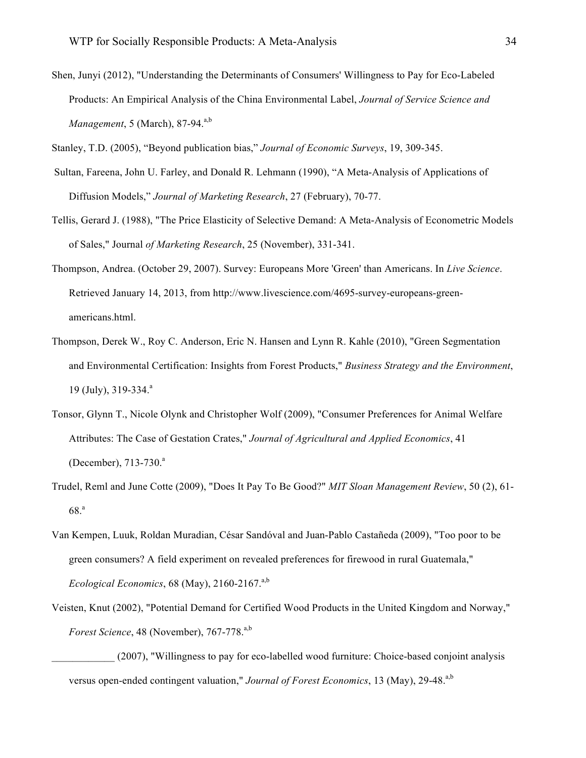Shen, Junyi (2012), "Understanding the Determinants of Consumers' Willingness to Pay for Eco-Labeled Products: An Empirical Analysis of the China Environmental Label, *Journal of Service Science and Management*, 5 (March), 87-94.<sup>a,b</sup>

Stanley, T.D. (2005), "Beyond publication bias," *Journal of Economic Surveys*, 19, 309-345.

- Sultan, Fareena, John U. Farley, and Donald R. Lehmann (1990), "A Meta-Analysis of Applications of Diffusion Models," *Journal of Marketing Research*, 27 (February), 70-77.
- Tellis, Gerard J. (1988), "The Price Elasticity of Selective Demand: A Meta-Analysis of Econometric Models of Sales," Journal *of Marketing Research*, 25 (November), 331-341.
- Thompson, Andrea. (October 29, 2007). Survey: Europeans More 'Green' than Americans. In *Live Science*. Retrieved January 14, 2013, from http://www.livescience.com/4695-survey-europeans-greenamericans.html.
- Thompson, Derek W., Roy C. Anderson, Eric N. Hansen and Lynn R. Kahle (2010), "Green Segmentation and Environmental Certification: Insights from Forest Products," *Business Strategy and the Environment*, 19 (July), 319-334.<sup>a</sup>
- Tonsor, Glynn T., Nicole Olynk and Christopher Wolf (2009), "Consumer Preferences for Animal Welfare Attributes: The Case of Gestation Crates," *Journal of Agricultural and Applied Economics*, 41 (December), 713-730.<sup>a</sup>
- Trudel, Reml and June Cotte (2009), "Does It Pay To Be Good?" *MIT Sloan Management Review*, 50 (2), 61- 68.<sup>a</sup>
- Van Kempen, Luuk, Roldan Muradian, César Sandóval and Juan-Pablo Castañeda (2009), "Too poor to be green consumers? A field experiment on revealed preferences for firewood in rural Guatemala," *Ecological Economics*,  $68$  (May),  $2160-2167$ <sup>a,b</sup>
- Veisten, Knut (2002), "Potential Demand for Certified Wood Products in the United Kingdom and Norway," *Forest Science*, 48 (November), 767-778.<sup>a,b</sup>

\_\_\_\_\_\_\_\_\_\_\_\_ (2007), "Willingness to pay for eco-labelled wood furniture: Choice-based conjoint analysis versus open-ended contingent valuation," *Journal of Forest Economics*, 13 (May), 29-48.<sup>a,b</sup>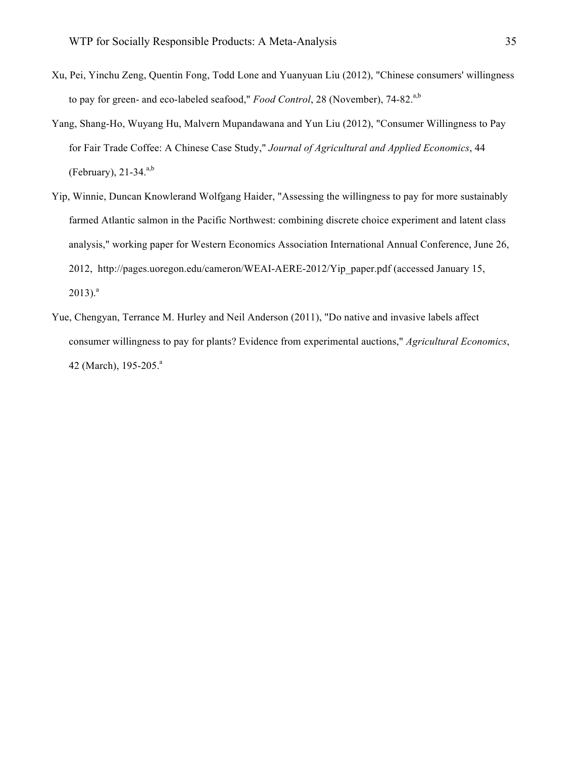- Xu, Pei, Yinchu Zeng, Quentin Fong, Todd Lone and Yuanyuan Liu (2012), "Chinese consumers' willingness to pay for green- and eco-labeled seafood," *Food Control*, 28 (November), 74-82.<sup>a,b</sup>
- Yang, Shang-Ho, Wuyang Hu, Malvern Mupandawana and Yun Liu (2012), "Consumer Willingness to Pay for Fair Trade Coffee: A Chinese Case Study," *Journal of Agricultural and Applied Economics*, 44 (February),  $21-34$ <sup>a,b</sup>
- Yip, Winnie, Duncan Knowlerand Wolfgang Haider, "Assessing the willingness to pay for more sustainably farmed Atlantic salmon in the Pacific Northwest: combining discrete choice experiment and latent class analysis," working paper for Western Economics Association International Annual Conference, June 26, 2012, http://pages.uoregon.edu/cameron/WEAI-AERE-2012/Yip\_paper.pdf (accessed January 15,  $2013$ ).<sup>a</sup>
- Yue, Chengyan, Terrance M. Hurley and Neil Anderson (2011), "Do native and invasive labels affect consumer willingness to pay for plants? Evidence from experimental auctions," *Agricultural Economics*, 42 (March), 195-205.<sup>a</sup>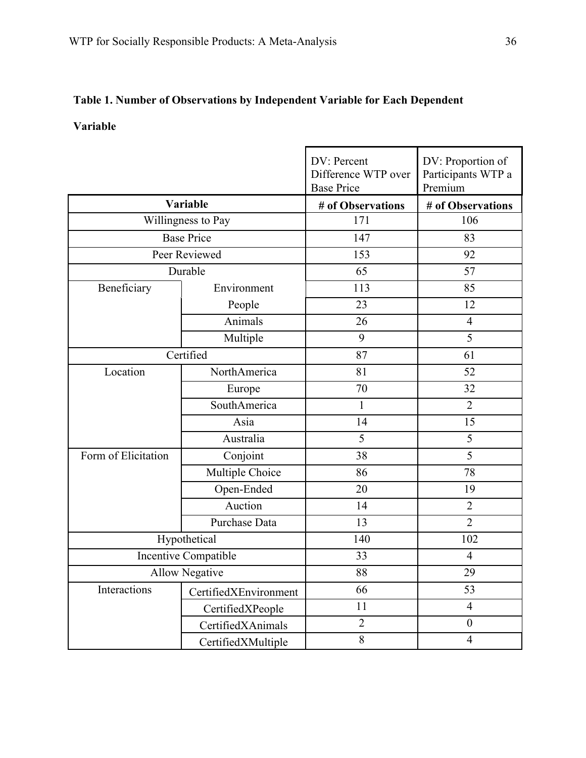# **Table 1. Number of Observations by Independent Variable for Each Dependent**

# **Variable**

|                       |                       | DV: Percent<br>Difference WTP over<br><b>Base Price</b> | DV: Proportion of<br>Participants WTP a<br>Premium |
|-----------------------|-----------------------|---------------------------------------------------------|----------------------------------------------------|
|                       | Variable              | # of Observations                                       | # of Observations                                  |
|                       | Willingness to Pay    |                                                         | 106                                                |
| <b>Base Price</b>     |                       | 147                                                     | 83                                                 |
| Peer Reviewed         |                       | 153                                                     | 92                                                 |
|                       | Durable               |                                                         | 57                                                 |
| Beneficiary           | Environment           | 113                                                     | 85                                                 |
|                       | People                | 23                                                      | 12                                                 |
|                       | Animals               | 26                                                      | $\overline{4}$                                     |
|                       | Multiple              | 9                                                       | 5                                                  |
| Certified             |                       | 87                                                      | 61                                                 |
| Location              | NorthAmerica          | 81                                                      | 52                                                 |
|                       | Europe                | 70                                                      | 32                                                 |
|                       | SouthAmerica          | $\mathbf{1}$                                            | $\overline{2}$                                     |
|                       | Asia                  | 14                                                      | 15                                                 |
|                       | Australia             | 5                                                       | 5                                                  |
| Form of Elicitation   | Conjoint              | 38                                                      | 5                                                  |
|                       | Multiple Choice       | 86                                                      | 78                                                 |
|                       | Open-Ended            | 20                                                      | 19                                                 |
|                       | Auction               | 14                                                      | $\overline{2}$                                     |
|                       | Purchase Data         | 13                                                      | $\overline{2}$                                     |
| Hypothetical          |                       | 140                                                     | 102                                                |
| Incentive Compatible  |                       | 33                                                      | $\overline{4}$                                     |
| <b>Allow Negative</b> |                       | 88                                                      | 29                                                 |
| Interactions          | CertifiedXEnvironment | 66                                                      | 53                                                 |
|                       | CertifiedXPeople      | 11                                                      | $\overline{4}$                                     |
|                       | CertifiedXAnimals     | $\overline{2}$                                          | $\boldsymbol{0}$                                   |
|                       | CertifiedXMultiple    | $8\,$                                                   | $\overline{4}$                                     |

L,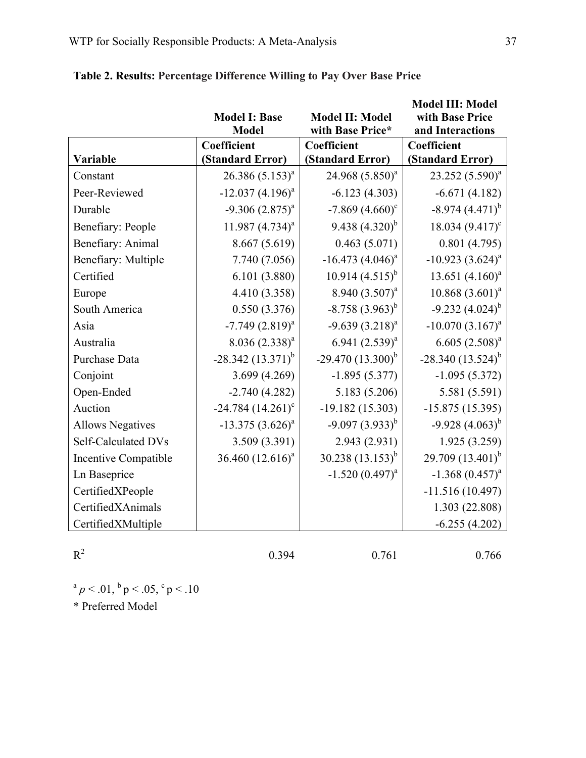|                         |                       |                             | <b>Model III: Model</b>                |
|-------------------------|-----------------------|-----------------------------|----------------------------------------|
|                         | <b>Model I: Base</b>  | <b>Model II: Model</b>      | with Base Price                        |
|                         | <b>Model</b>          | with Base Price*            | and Interactions                       |
| Variable                | Coefficient           | Coefficient                 | <b>Coefficient</b><br>(Standard Error) |
|                         | (Standard Error)      | (Standard Error)            |                                        |
| Constant                | $26.386(5.153)^{a}$   | 24.968 (5.850) <sup>a</sup> | $23.252(5.590)^{a}$                    |
| Peer-Reviewed           | $-12.037(4.196)^{a}$  | $-6.123(4.303)$             | $-6.671(4.182)$                        |
| Durable                 | $-9.306(2.875)^{a}$   | $-7.869(4.660)^{\circ}$     | $-8.974(4.471)^{b}$                    |
| Benefiary: People       | 11.987 $(4.734)^{a}$  | 9.438 $(4.320)^b$           | 18.034 $(9.417)^c$                     |
| Benefiary: Animal       | 8.667 (5.619)         | 0.463(5.071)                | 0.801(4.795)                           |
| Benefiary: Multiple     | 7.740 (7.056)         | $-16.473 (4.046)^{a}$       | $-10.923(3.624)^{a}$                   |
| Certified               | 6.101(3.880)          | $10.914(4.515)^{b}$         | 13.651 $(4.160)^a$                     |
| Europe                  | 4.410 (3.358)         | 8.940 $(3.507)^a$           | $10.868(3.601)^a$                      |
| South America           | 0.550(3.376)          | $-8.758(3.963)^{b}$         | $-9.232(4.024)^{b}$                    |
| Asia                    | $-7.749(2.819)^{a}$   | $-9.639(3.218)^{a}$         | $-10.070(3.167)^{a}$                   |
| Australia               | $8.036(2.338)^a$      | 6.941 $(2.539)^{a}$         | $6.605 (2.508)^a$                      |
| Purchase Data           | $-28.342(13.371)^{b}$ | $-29.470(13.300)^{b}$       | $-28.340(13.524)^{b}$                  |
| Conjoint                | 3.699(4.269)          | $-1.895(5.377)$             | $-1.095(5.372)$                        |
| Open-Ended              | $-2.740(4.282)$       | 5.183 (5.206)               | 5.581 (5.591)                          |
| Auction                 | $-24.784(14.261)^c$   | $-19.182(15.303)$           | $-15.875(15.395)$                      |
| <b>Allows Negatives</b> | $-13.375(3.626)^{a}$  | $-9.097(3.933)^{b}$         | $-9.928(4.063)^{b}$                    |
| Self-Calculated DVs     | 3.509 (3.391)         | 2.943 (2.931)               | 1.925 (3.259)                          |
| Incentive Compatible    | 36.460 $(12.616)^a$   | 30.238 $(13.153)^{b}$       | 29.709 $(13.401)^{b}$                  |
| Ln Baseprice            |                       | $-1.520(0.497)^{a}$         | $-1.368(0.457)^{a}$                    |
| CertifiedXPeople        |                       |                             | $-11.516(10.497)$                      |
| CertifiedXAnimals       |                       |                             | 1.303 (22.808)                         |
| CertifiedXMultiple      |                       |                             | $-6.255(4.202)$                        |

# **Table 2. Results: Percentage Difference Willing to Pay Over Base Price**

 $R^2$  0.394 0.761 0.766

 $a$  *p* < .01,  $b$  *p* < .05,  $c$  *p* < .10 \* Preferred Model